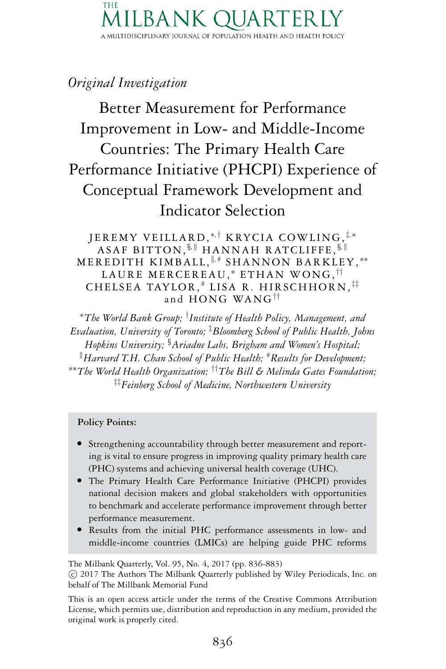#### THE  $BA<sub>h</sub>$ A MULTIDISCIPLINARY JOURNAL OF POPULATION HEALTH AND HEALTH POLICY

## *Original Investigation*

Better Measurement for Performance Improvement in Low- and Middle-Income Countries: The Primary Health Care Performance Initiative (PHCPI) Experience of Conceptual Framework Development and Indicator Selection

JEREMY VEILLARD, <sup>∗</sup>*,*† KRYCIA COWLING, ‡*,*<sup>∗</sup> ASAF BITTON, *§,* HANNAH RATCLIFFE, *§,* MEREDITH KIMBALL,  $\mathbb{I}$ ,# SHANNON BARKLEY,\*\* LAURE MERCEREAU,\* ETHAN WONG,<sup>††</sup> CHELSEA TAYLOR, # LISA R. HIRSCHHORN, ‡‡ and HONG WANG††

<sup>∗</sup>*The World Bank Group;* † *Institute of Health Policy, Management, and Evaluation, University of Toronto;* ‡ *Bloomberg School of Public Health, Johns Hopkins University; §Ariadne Labs, Brigham and Women's Hospital; Harvard T.H. Chan School of Public Health;* #*Results for Development;* ∗∗*The World Health Organization;* ††*The Bill & Melinda Gates Foundation;* ‡‡*Feinberg School of Medicine, Northwestern University*

#### **Policy Points:**

- Strengthening accountability through better measurement and reporting is vital to ensure progress in improving quality primary health care
- (PHC) systems and achieving universal health coverage (UHC).<br>• The Primary Health Care Performance Initiative (PHCPI) provides national decision makers and global stakeholders with opportunities to benchmark and accelerate performance improvement through better
- performance measurement.<br>
Results from the initial PHC performance assessments in low- and middle-income countries (LMICs) are helping guide PHC reforms

The Milbank Quarterly, Vol. 95, No. 4, 2017 (pp. 836-883)

-c 2017 The Authors The Milbank Quarterly published by Wiley Periodicals, Inc. on behalf of The Millbank Memorial Fund

This is an open access article under the terms of the [Creative Commons Attribution](http://creativecommons.org/licenses/by/4.0/) License, which permits use, distribution and reproduction in any medium, provided the original work is properly cited.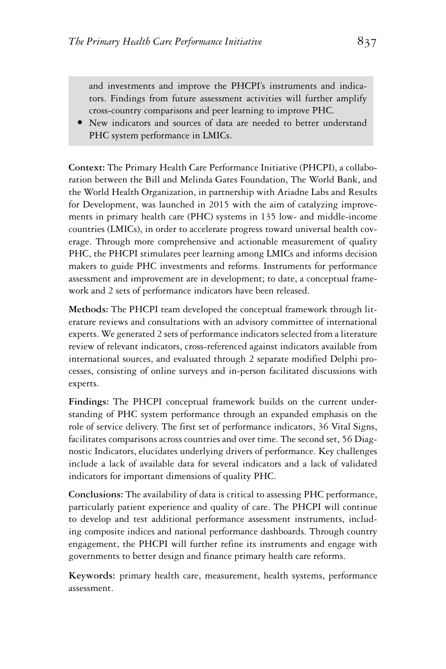and investments and improve the PHCPI's instruments and indicators. Findings from future assessment activities will further amplify cross-country comparisons and peer learning to improve PHC. -

 New indicators and sources of data are needed to better understand PHC system performance in LMICs.

**Context:** The Primary Health Care Performance Initiative (PHCPI), a collaboration between the Bill and Melinda Gates Foundation, The World Bank, and the World Health Organization, in partnership with Ariadne Labs and Results for Development, was launched in 2015 with the aim of catalyzing improvements in primary health care (PHC) systems in 135 low- and middle-income countries (LMICs), in order to accelerate progress toward universal health coverage. Through more comprehensive and actionable measurement of quality PHC, the PHCPI stimulates peer learning among LMICs and informs decision makers to guide PHC investments and reforms. Instruments for performance assessment and improvement are in development; to date, a conceptual framework and 2 sets of performance indicators have been released.

**Methods:** The PHCPI team developed the conceptual framework through literature reviews and consultations with an advisory committee of international experts. We generated 2 sets of performance indicators selected from a literature review of relevant indicators, cross-referenced against indicators available from international sources, and evaluated through 2 separate modified Delphi processes, consisting of online surveys and in-person facilitated discussions with experts.

**Findings:** The PHCPI conceptual framework builds on the current understanding of PHC system performance through an expanded emphasis on the role of service delivery. The first set of performance indicators, 36 Vital Signs, facilitates comparisons across countries and over time. The second set, 56 Diagnostic Indicators, elucidates underlying drivers of performance. Key challenges include a lack of available data for several indicators and a lack of validated indicators for important dimensions of quality PHC.

**Conclusions:** The availability of data is critical to assessing PHC performance, particularly patient experience and quality of care. The PHCPI will continue to develop and test additional performance assessment instruments, including composite indices and national performance dashboards. Through country engagement, the PHCPI will further refine its instruments and engage with governments to better design and finance primary health care reforms.

**Keywords:** primary health care, measurement, health systems, performance assessment.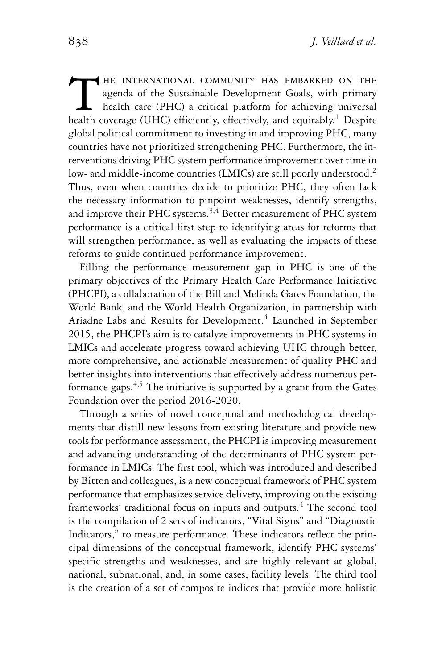The international community has embarked on the agenda of the Sustainable Development Goals, with primary health care (PHC) a critical platform for achieving universal health coverage (UHC) efficiently, effectively, and equitably.<sup>1</sup> Despite global political commitment to investing in and improving PHC, many countries have not prioritized strengthening PHC. Furthermore, the interventions driving PHC system performance improvement over time in low- and middle-income countries (LMICs) are still poorly understood.<sup>2</sup> Thus, even when countries decide to prioritize PHC, they often lack the necessary information to pinpoint weaknesses, identify strengths, and improve their PHC systems. $3,4$  Better measurement of PHC system performance is a critical first step to identifying areas for reforms that will strengthen performance, as well as evaluating the impacts of these reforms to guide continued performance improvement.

Filling the performance measurement gap in PHC is one of the primary objectives of the Primary Health Care Performance Initiative (PHCPI), a collaboration of the Bill and Melinda Gates Foundation, the World Bank, and the World Health Organization, in partnership with Ariadne Labs and Results for Development.<sup>4</sup> Launched in September 2015, the PHCPI's aim is to catalyze improvements in PHC systems in LMICs and accelerate progress toward achieving UHC through better, more comprehensive, and actionable measurement of quality PHC and better insights into interventions that effectively address numerous performance gaps.4,5 The initiative is supported by a grant from the Gates Foundation over the period 2016-2020.

Through a series of novel conceptual and methodological developments that distill new lessons from existing literature and provide new tools for performance assessment, the PHCPI is improving measurement and advancing understanding of the determinants of PHC system performance in LMICs. The first tool, which was introduced and described by Bitton and colleagues, is a new conceptual framework of PHC system performance that emphasizes service delivery, improving on the existing frameworks' traditional focus on inputs and outputs.<sup>4</sup> The second tool is the compilation of 2 sets of indicators, "Vital Signs" and "Diagnostic Indicators," to measure performance. These indicators reflect the principal dimensions of the conceptual framework, identify PHC systems' specific strengths and weaknesses, and are highly relevant at global, national, subnational, and, in some cases, facility levels. The third tool is the creation of a set of composite indices that provide more holistic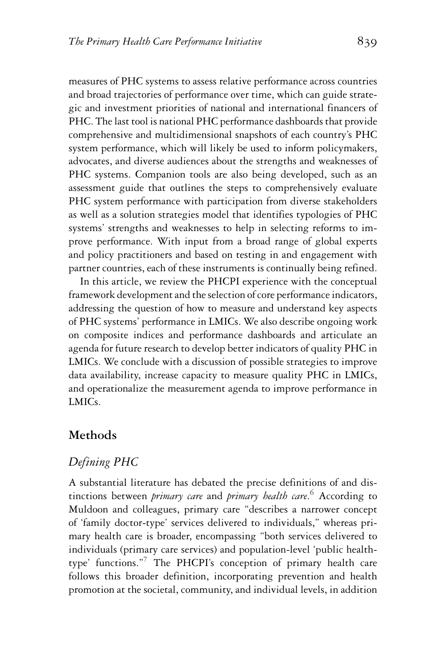measures of PHC systems to assess relative performance across countries and broad trajectories of performance over time, which can guide strategic and investment priorities of national and international financers of PHC. The last tool is national PHC performance dashboards that provide comprehensive and multidimensional snapshots of each country's PHC system performance, which will likely be used to inform policymakers, advocates, and diverse audiences about the strengths and weaknesses of PHC systems. Companion tools are also being developed, such as an assessment guide that outlines the steps to comprehensively evaluate PHC system performance with participation from diverse stakeholders as well as a solution strategies model that identifies typologies of PHC systems' strengths and weaknesses to help in selecting reforms to improve performance. With input from a broad range of global experts and policy practitioners and based on testing in and engagement with partner countries, each of these instruments is continually being refined.

In this article, we review the PHCPI experience with the conceptual framework development and the selection of core performance indicators, addressing the question of how to measure and understand key aspects of PHC systems' performance in LMICs. We also describe ongoing work on composite indices and performance dashboards and articulate an agenda for future research to develop better indicators of quality PHC in LMICs. We conclude with a discussion of possible strategies to improve data availability, increase capacity to measure quality PHC in LMICs, and operationalize the measurement agenda to improve performance in LMICs.

#### **Methods**

### *Defining PHC*

A substantial literature has debated the precise definitions of and distinctions between *primary care* and *primary health care*. <sup>6</sup> According to Muldoon and colleagues, primary care "describes a narrower concept of 'family doctor-type' services delivered to individuals," whereas primary health care is broader, encompassing "both services delivered to individuals (primary care services) and population-level 'public healthtype' functions."<sup>7</sup> The PHCPI's conception of primary health care follows this broader definition, incorporating prevention and health promotion at the societal, community, and individual levels, in addition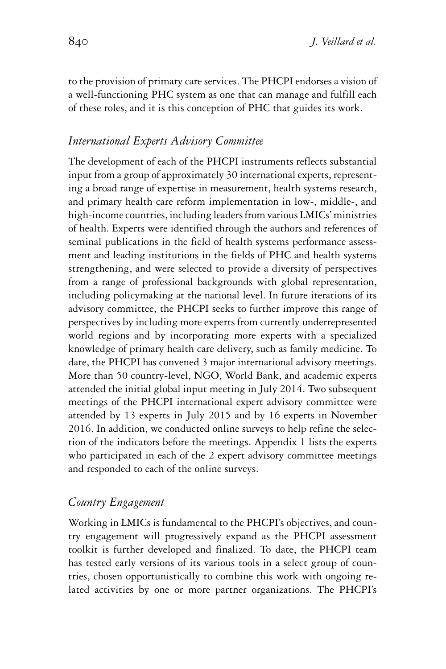to the provision of primary care services. The PHCPI endorses a vision of a well-functioning PHC system as one that can manage and fulfill each of these roles, and it is this conception of PHC that guides its work.

### *International Experts Advisory Committee*

The development of each of the PHCPI instruments reflects substantial input from a group of approximately 30 international experts, representing a broad range of expertise in measurement, health systems research, and primary health care reform implementation in low-, middle-, and high-income countries, including leaders from various LMICs' ministries of health. Experts were identified through the authors and references of seminal publications in the field of health systems performance assessment and leading institutions in the fields of PHC and health systems strengthening, and were selected to provide a diversity of perspectives from a range of professional backgrounds with global representation, including policymaking at the national level. In future iterations of its advisory committee, the PHCPI seeks to further improve this range of perspectives by including more experts from currently underrepresented world regions and by incorporating more experts with a specialized knowledge of primary health care delivery, such as family medicine. To date, the PHCPI has convened 3 major international advisory meetings. More than 50 country-level, NGO, World Bank, and academic experts attended the initial global input meeting in July 2014. Two subsequent meetings of the PHCPI international expert advisory committee were attended by 13 experts in July 2015 and by 16 experts in November 2016. In addition, we conducted online surveys to help refine the selection of the indicators before the meetings. Appendix 1 lists the experts who participated in each of the 2 expert advisory committee meetings and responded to each of the online surveys.

#### *Country Engagement*

Working in LMICs is fundamental to the PHCPI's objectives, and country engagement will progressively expand as the PHCPI assessment toolkit is further developed and finalized. To date, the PHCPI team has tested early versions of its various tools in a select group of countries, chosen opportunistically to combine this work with ongoing related activities by one or more partner organizations. The PHCPI's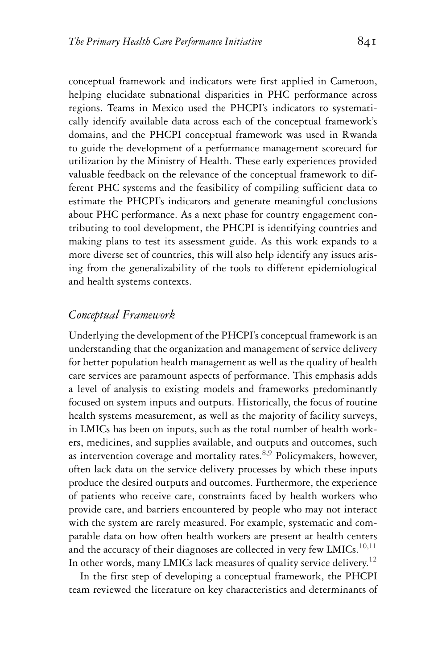conceptual framework and indicators were first applied in Cameroon, helping elucidate subnational disparities in PHC performance across regions. Teams in Mexico used the PHCPI's indicators to systematically identify available data across each of the conceptual framework's domains, and the PHCPI conceptual framework was used in Rwanda to guide the development of a performance management scorecard for utilization by the Ministry of Health. These early experiences provided valuable feedback on the relevance of the conceptual framework to different PHC systems and the feasibility of compiling sufficient data to estimate the PHCPI's indicators and generate meaningful conclusions about PHC performance. As a next phase for country engagement contributing to tool development, the PHCPI is identifying countries and making plans to test its assessment guide. As this work expands to a more diverse set of countries, this will also help identify any issues arising from the generalizability of the tools to different epidemiological and health systems contexts.

#### *Conceptual Framework*

Underlying the development of the PHCPI's conceptual framework is an understanding that the organization and management of service delivery for better population health management as well as the quality of health care services are paramount aspects of performance. This emphasis adds a level of analysis to existing models and frameworks predominantly focused on system inputs and outputs. Historically, the focus of routine health systems measurement, as well as the majority of facility surveys, in LMICs has been on inputs, such as the total number of health workers, medicines, and supplies available, and outputs and outcomes, such as intervention coverage and mortality rates. $8.9$  Policymakers, however, often lack data on the service delivery processes by which these inputs produce the desired outputs and outcomes. Furthermore, the experience of patients who receive care, constraints faced by health workers who provide care, and barriers encountered by people who may not interact with the system are rarely measured. For example, systematic and comparable data on how often health workers are present at health centers and the accuracy of their diagnoses are collected in very few LMICs.<sup>10,11</sup> In other words, many LMICs lack measures of quality service delivery.<sup>12</sup>

In the first step of developing a conceptual framework, the PHCPI team reviewed the literature on key characteristics and determinants of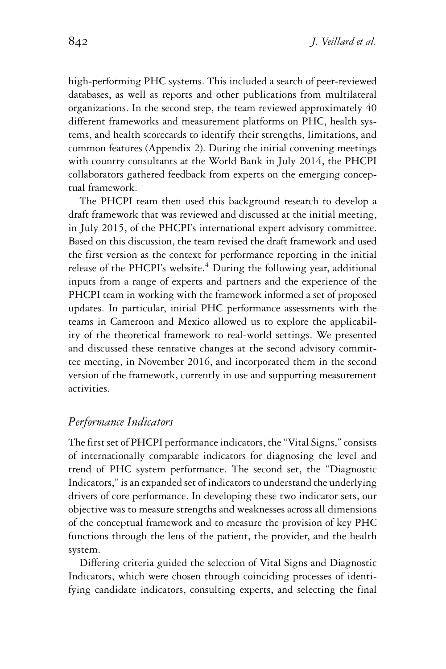high-performing PHC systems. This included a search of peer-reviewed databases, as well as reports and other publications from multilateral organizations. In the second step, the team reviewed approximately 40 different frameworks and measurement platforms on PHC, health systems, and health scorecards to identify their strengths, limitations, and common features (Appendix 2). During the initial convening meetings with country consultants at the World Bank in July 2014, the PHCPI collaborators gathered feedback from experts on the emerging conceptual framework.

The PHCPI team then used this background research to develop a draft framework that was reviewed and discussed at the initial meeting, in July 2015, of the PHCPI's international expert advisory committee. Based on this discussion, the team revised the draft framework and used the first version as the context for performance reporting in the initial release of the PHCPI's website.<sup>4</sup> During the following year, additional inputs from a range of experts and partners and the experience of the PHCPI team in working with the framework informed a set of proposed updates. In particular, initial PHC performance assessments with the teams in Cameroon and Mexico allowed us to explore the applicability of the theoretical framework to real-world settings. We presented and discussed these tentative changes at the second advisory committee meeting, in November 2016, and incorporated them in the second version of the framework, currently in use and supporting measurement activities.

#### *Performance Indicators*

The first set of PHCPI performance indicators, the "Vital Signs," consists of internationally comparable indicators for diagnosing the level and trend of PHC system performance. The second set, the "Diagnostic Indicators," is an expanded set of indicators to understand the underlying drivers of core performance. In developing these two indicator sets, our objective was to measure strengths and weaknesses across all dimensions of the conceptual framework and to measure the provision of key PHC functions through the lens of the patient, the provider, and the health system.

Differing criteria guided the selection of Vital Signs and Diagnostic Indicators, which were chosen through coinciding processes of identifying candidate indicators, consulting experts, and selecting the final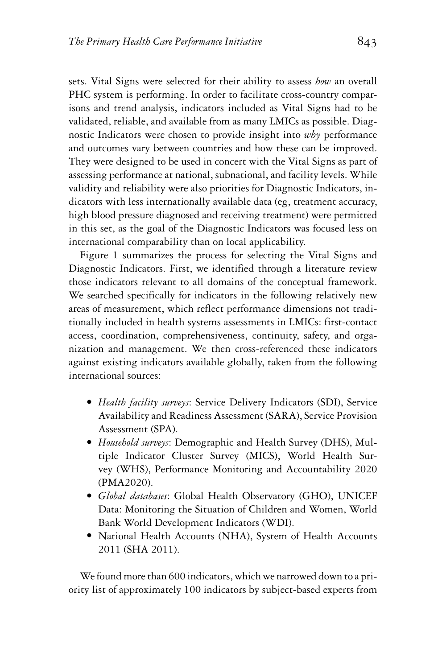sets. Vital Signs were selected for their ability to assess *how* an overall PHC system is performing. In order to facilitate cross-country comparisons and trend analysis, indicators included as Vital Signs had to be validated, reliable, and available from as many LMICs as possible. Diagnostic Indicators were chosen to provide insight into *why* performance and outcomes vary between countries and how these can be improved. They were designed to be used in concert with the Vital Signs as part of assessing performance at national, subnational, and facility levels. While validity and reliability were also priorities for Diagnostic Indicators, indicators with less internationally available data (eg, treatment accuracy, high blood pressure diagnosed and receiving treatment) were permitted in this set, as the goal of the Diagnostic Indicators was focused less on international comparability than on local applicability.

Figure 1 summarizes the process for selecting the Vital Signs and Diagnostic Indicators. First, we identified through a literature review those indicators relevant to all domains of the conceptual framework. We searched specifically for indicators in the following relatively new areas of measurement, which reflect performance dimensions not traditionally included in health systems assessments in LMICs: first-contact access, coordination, comprehensiveness, continuity, safety, and organization and management. We then cross-referenced these indicators against existing indicators available globally, taken from the following international sources:

- *Health facility surveys*: Service Delivery Indicators (SDI), Service Availability and Readiness Assessment (SARA), Service Provision Assessment (SPA).
- *Household surveys*: Demographic and Health Survey (DHS), Multiple Indicator Cluster Survey (MICS), World Health Survey (WHS), Performance Monitoring and Accountability 2020 (PMA2020).
- *Global databases*: Global Health Observatory (GHO), UNICEF Data: Monitoring the Situation of Children and Women, World Bank World Development Indicators (WDI).
- National Health Accounts (NHA), System of Health Accounts 2011 (SHA 2011).

We found more than 600 indicators, which we narrowed down to a priority list of approximately 100 indicators by subject-based experts from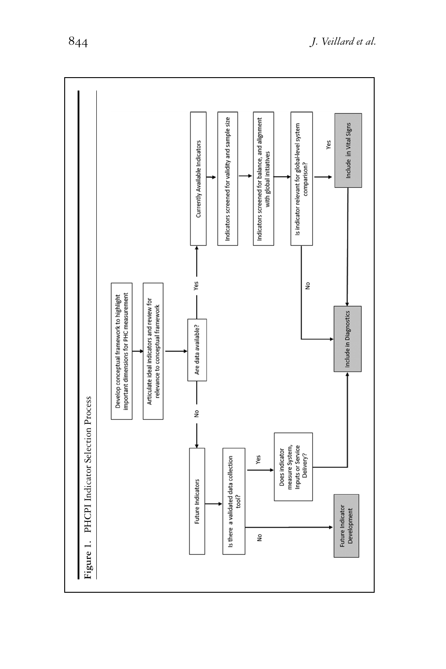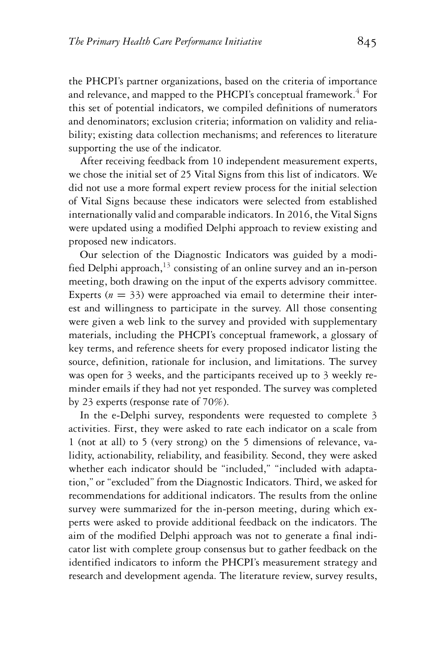the PHCPI's partner organizations, based on the criteria of importance and relevance, and mapped to the PHCPI's conceptual framework.<sup>4</sup> For this set of potential indicators, we compiled definitions of numerators and denominators; exclusion criteria; information on validity and reliability; existing data collection mechanisms; and references to literature supporting the use of the indicator.

After receiving feedback from 10 independent measurement experts, we chose the initial set of 25 Vital Signs from this list of indicators. We did not use a more formal expert review process for the initial selection of Vital Signs because these indicators were selected from established internationally valid and comparable indicators. In 2016, the Vital Signs were updated using a modified Delphi approach to review existing and proposed new indicators.

Our selection of the Diagnostic Indicators was guided by a modified Delphi approach,  $13$  consisting of an online survey and an in-person meeting, both drawing on the input of the experts advisory committee. Experts  $(n = 33)$  were approached via email to determine their interest and willingness to participate in the survey. All those consenting were given a web link to the survey and provided with supplementary materials, including the PHCPI's conceptual framework, a glossary of key terms, and reference sheets for every proposed indicator listing the source, definition, rationale for inclusion, and limitations. The survey was open for 3 weeks, and the participants received up to 3 weekly reminder emails if they had not yet responded. The survey was completed by 23 experts (response rate of 70%).

In the e-Delphi survey, respondents were requested to complete 3 activities. First, they were asked to rate each indicator on a scale from 1 (not at all) to 5 (very strong) on the 5 dimensions of relevance, validity, actionability, reliability, and feasibility. Second, they were asked whether each indicator should be "included," "included with adaptation," or "excluded" from the Diagnostic Indicators. Third, we asked for recommendations for additional indicators. The results from the online survey were summarized for the in-person meeting, during which experts were asked to provide additional feedback on the indicators. The aim of the modified Delphi approach was not to generate a final indicator list with complete group consensus but to gather feedback on the identified indicators to inform the PHCPI's measurement strategy and research and development agenda. The literature review, survey results,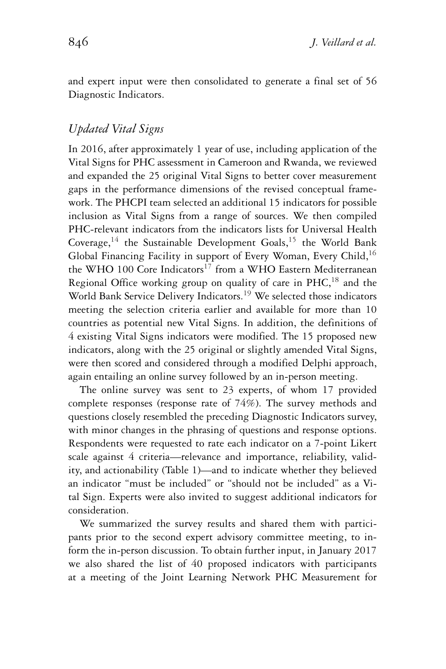and expert input were then consolidated to generate a final set of 56 Diagnostic Indicators.

#### *Updated Vital Signs*

In 2016, after approximately 1 year of use, including application of the Vital Signs for PHC assessment in Cameroon and Rwanda, we reviewed and expanded the 25 original Vital Signs to better cover measurement gaps in the performance dimensions of the revised conceptual framework. The PHCPI team selected an additional 15 indicators for possible inclusion as Vital Signs from a range of sources. We then compiled PHC-relevant indicators from the indicators lists for Universal Health Coverage,<sup>14</sup> the Sustainable Development Goals,<sup>15</sup> the World Bank Global Financing Facility in support of Every Woman, Every Child,  $16$ the WHO 100 Core Indicators<sup>17</sup> from a WHO Eastern Mediterranean Regional Office working group on quality of care in PHC,<sup>18</sup> and the World Bank Service Delivery Indicators.<sup>19</sup> We selected those indicators meeting the selection criteria earlier and available for more than 10 countries as potential new Vital Signs. In addition, the definitions of 4 existing Vital Signs indicators were modified. The 15 proposed new indicators, along with the 25 original or slightly amended Vital Signs, were then scored and considered through a modified Delphi approach, again entailing an online survey followed by an in-person meeting.

The online survey was sent to 23 experts, of whom 17 provided complete responses (response rate of 74%). The survey methods and questions closely resembled the preceding Diagnostic Indicators survey, with minor changes in the phrasing of questions and response options. Respondents were requested to rate each indicator on a 7-point Likert scale against 4 criteria—relevance and importance, reliability, validity, and actionability (Table 1)—and to indicate whether they believed an indicator "must be included" or "should not be included" as a Vital Sign. Experts were also invited to suggest additional indicators for consideration.

We summarized the survey results and shared them with participants prior to the second expert advisory committee meeting, to inform the in-person discussion. To obtain further input, in January 2017 we also shared the list of 40 proposed indicators with participants at a meeting of the Joint Learning Network PHC Measurement for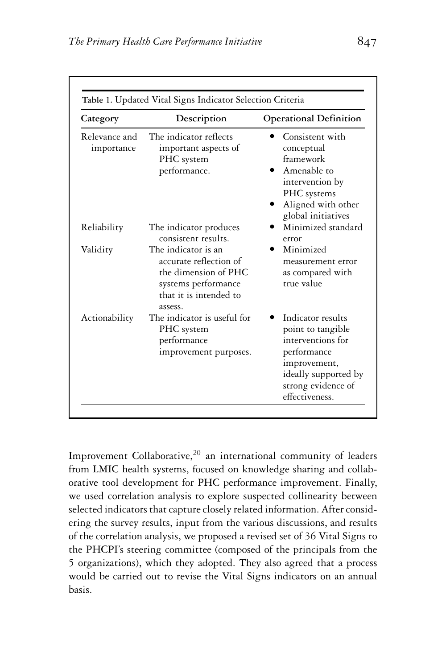| Category                    | Description                                                                                                                       | <b>Operational Definition</b>                                                                                                                              |
|-----------------------------|-----------------------------------------------------------------------------------------------------------------------------------|------------------------------------------------------------------------------------------------------------------------------------------------------------|
| Relevance and<br>importance | The indicator reflects<br>important aspects of<br>PHC system<br>performance.                                                      | Consistent with<br>conceptual<br>framework<br>Amenable to<br>intervention by<br>PHC systems<br>Aligned with other<br>global initiatives                    |
| Reliability                 | The indicator produces<br>consistent results.                                                                                     | Minimized standard<br>error                                                                                                                                |
| Validity                    | The indicator is an<br>accurate reflection of<br>the dimension of PHC<br>systems performance<br>that it is intended to<br>assess. | Minimized<br>measurement error<br>as compared with<br>true value                                                                                           |
| Actionability               | The indicator is useful for<br>PHC system<br>performance<br>improvement purposes.                                                 | Indicator results<br>point to tangible<br>interventions for<br>performance<br>improvement,<br>ideally supported by<br>strong evidence of<br>effectiveness. |

Improvement Collaborative, $20$  an international community of leaders from LMIC health systems, focused on knowledge sharing and collaborative tool development for PHC performance improvement. Finally, we used correlation analysis to explore suspected collinearity between selected indicators that capture closely related information. After considering the survey results, input from the various discussions, and results of the correlation analysis, we proposed a revised set of 36 Vital Signs to the PHCPI's steering committee (composed of the principals from the 5 organizations), which they adopted. They also agreed that a process would be carried out to revise the Vital Signs indicators on an annual basis.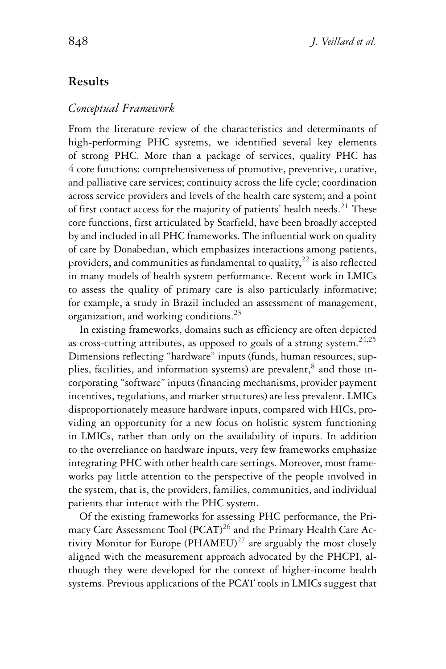#### **Results**

#### *Conceptual Framework*

From the literature review of the characteristics and determinants of high-performing PHC systems, we identified several key elements of strong PHC. More than a package of services, quality PHC has 4 core functions: comprehensiveness of promotive, preventive, curative, and palliative care services; continuity across the life cycle; coordination across service providers and levels of the health care system; and a point of first contact access for the majority of patients' health needs.<sup>21</sup> These core functions, first articulated by Starfield, have been broadly accepted by and included in all PHC frameworks. The influential work on quality of care by Donabedian, which emphasizes interactions among patients, providers, and communities as fundamental to quality,  $22$  is also reflected in many models of health system performance. Recent work in LMICs to assess the quality of primary care is also particularly informative; for example, a study in Brazil included an assessment of management, organization, and working conditions.<sup>23</sup>

In existing frameworks, domains such as efficiency are often depicted as cross-cutting attributes, as opposed to goals of a strong system.<sup>24,25</sup> Dimensions reflecting "hardware" inputs (funds, human resources, supplies, facilities, and information systems) are prevalent, $^8$  and those incorporating "software" inputs (financing mechanisms, provider payment incentives, regulations, and market structures) are less prevalent. LMICs disproportionately measure hardware inputs, compared with HICs, providing an opportunity for a new focus on holistic system functioning in LMICs, rather than only on the availability of inputs. In addition to the overreliance on hardware inputs, very few frameworks emphasize integrating PHC with other health care settings. Moreover, most frameworks pay little attention to the perspective of the people involved in the system, that is, the providers, families, communities, and individual patients that interact with the PHC system.

Of the existing frameworks for assessing PHC performance, the Primacy Care Assessment Tool (PCAT)<sup>26</sup> and the Primary Health Care Activity Monitor for Europe (PHAMEU)<sup>27</sup> are arguably the most closely aligned with the measurement approach advocated by the PHCPI, although they were developed for the context of higher-income health systems. Previous applications of the PCAT tools in LMICs suggest that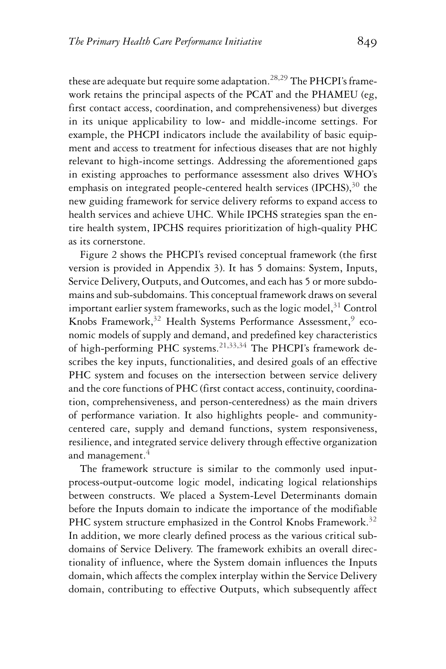these are adequate but require some adaptation.<sup>28,29</sup> The PHCPI's framework retains the principal aspects of the PCAT and the PHAMEU (eg, first contact access, coordination, and comprehensiveness) but diverges in its unique applicability to low- and middle-income settings. For example, the PHCPI indicators include the availability of basic equipment and access to treatment for infectious diseases that are not highly relevant to high-income settings. Addressing the aforementioned gaps in existing approaches to performance assessment also drives WHO's emphasis on integrated people-centered health services (IPCHS), $30$  the new guiding framework for service delivery reforms to expand access to health services and achieve UHC. While IPCHS strategies span the entire health system, IPCHS requires prioritization of high-quality PHC as its cornerstone.

Figure 2 shows the PHCPI's revised conceptual framework (the first version is provided in Appendix 3). It has 5 domains: System, Inputs, Service Delivery, Outputs, and Outcomes, and each has 5 or more subdomains and sub-subdomains. This conceptual framework draws on several important earlier system frameworks, such as the logic model,  $31$  Control Knobs Framework, $32$  Health Systems Performance Assessment, $9$  economic models of supply and demand, and predefined key characteristics of high-performing PHC systems.<sup>21,33,34</sup> The PHCPI's framework describes the key inputs, functionalities, and desired goals of an effective PHC system and focuses on the intersection between service delivery and the core functions of PHC (first contact access, continuity, coordination, comprehensiveness, and person-centeredness) as the main drivers of performance variation. It also highlights people- and communitycentered care, supply and demand functions, system responsiveness, resilience, and integrated service delivery through effective organization and management.<sup>4</sup>

The framework structure is similar to the commonly used inputprocess-output-outcome logic model, indicating logical relationships between constructs. We placed a System-Level Determinants domain before the Inputs domain to indicate the importance of the modifiable PHC system structure emphasized in the Control Knobs Framework.<sup>32</sup> In addition, we more clearly defined process as the various critical subdomains of Service Delivery. The framework exhibits an overall directionality of influence, where the System domain influences the Inputs domain, which affects the complex interplay within the Service Delivery domain, contributing to effective Outputs, which subsequently affect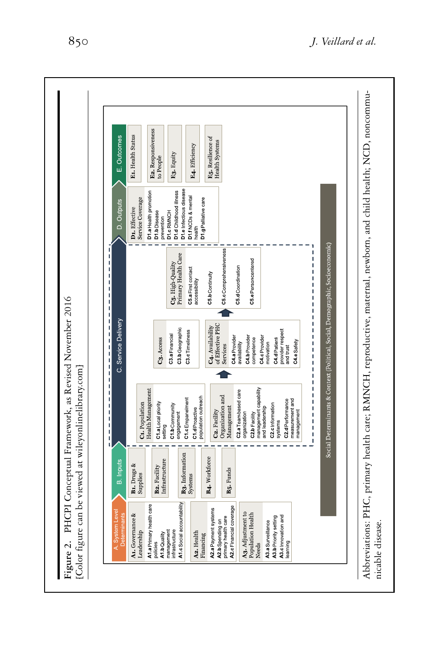| E1. Health Status<br><b>E<sub>5</sub></b> . Resilience of<br>Health Systems<br>E4. Efficiency<br>E3. Equity<br>to People<br>D1.e Infectious disease<br>D1.d Childhood illness<br>D1.a Health promotion<br>D1.f NCDs & mental<br>Service Coverage<br>D1.g Palliative care<br>D1. Effective<br>D1.c RMNCH<br>D1.bDisease<br>prevention<br>health<br>C5.cComprehensiveness<br>I<br>Primary Health Care<br>I<br>C5.ePersoncentered<br>C5. High Quality<br>I<br>C5.d Coordination<br>C5.a First contact<br>I<br>C5.b Continuity<br>I<br>accessibility<br>I<br>I<br>I<br>I<br>ı<br>of Effective PHC<br>C4. Availability<br>C3.bGeographic<br>provider respect<br>and trust<br>I<br>C3.cTimeliness<br>C3.a Financial<br>C4.b Provider<br>C4.c Provider<br>I<br>C4.a Provider<br>C3. Access<br>competence<br>C4.dPatient<br>C4.eSafety<br>availability<br>motivation<br>I<br>Services<br>í<br>I<br>Ï<br>ī<br>ı<br>management capability<br>Health Management<br>C2.a Teambased care<br>I<br>Organization and<br>population outreach<br>C1.cEmpanelment<br>C <sub>2</sub> .d Performance<br>measurement and<br>I<br>C1. Population<br>C1.a Local piority<br>C1.bCommunity<br>C2.c Information<br>Management<br>and leadership<br>C1.d Proactive<br>$\begin{array}{c} 1 \\ 1 \\ 1 \\ 1 \end{array}$<br>C2. Facility<br>management<br>engagement<br>organization<br>C <sub>2</sub> b Facility<br>systems<br>setting<br>ï<br>I<br>B <sub>3</sub> . Information<br>B4. Workforce<br>Infrastructure<br>B1. Drugs &<br><b>B2. Facility</b><br>B <sub>5</sub> . Funds<br>Supplies<br>Systems<br>A1.c Social accountability<br>A1.a Primary health care<br>A2.c Financial coverage<br>A2.a Payment systems<br>A3. Adjustment to<br>A1. Governance &<br>Population Health<br>A3.c Innovation and<br>primary health care<br>A3.b Priority setting<br>A2.b Spending on<br>A3.a Surveillance<br>infrastructure<br>management<br>Leadership<br>A2. Health<br>A1.b Quality<br>Financing<br>policies<br>learning<br>Needs | A. System Level<br>Determinants | <b>B.</b> Inputs | $1 + 1 + 1 + 1 + 1 + 1 + 1 + 1$ | C. Service Delivery | D. Outputs | E. Outcomes        |
|---------------------------------------------------------------------------------------------------------------------------------------------------------------------------------------------------------------------------------------------------------------------------------------------------------------------------------------------------------------------------------------------------------------------------------------------------------------------------------------------------------------------------------------------------------------------------------------------------------------------------------------------------------------------------------------------------------------------------------------------------------------------------------------------------------------------------------------------------------------------------------------------------------------------------------------------------------------------------------------------------------------------------------------------------------------------------------------------------------------------------------------------------------------------------------------------------------------------------------------------------------------------------------------------------------------------------------------------------------------------------------------------------------------------------------------------------------------------------------------------------------------------------------------------------------------------------------------------------------------------------------------------------------------------------------------------------------------------------------------------------------------------------------------------------------------------------------------------------------------------------------------------------------------------------------------------------------------------------------------------------|---------------------------------|------------------|---------------------------------|---------------------|------------|--------------------|
|                                                                                                                                                                                                                                                                                                                                                                                                                                                                                                                                                                                                                                                                                                                                                                                                                                                                                                                                                                                                                                                                                                                                                                                                                                                                                                                                                                                                                                                                                                                                                                                                                                                                                                                                                                                                                                                                                                                                                                                                   |                                 |                  |                                 |                     |            |                    |
|                                                                                                                                                                                                                                                                                                                                                                                                                                                                                                                                                                                                                                                                                                                                                                                                                                                                                                                                                                                                                                                                                                                                                                                                                                                                                                                                                                                                                                                                                                                                                                                                                                                                                                                                                                                                                                                                                                                                                                                                   |                                 |                  |                                 |                     |            |                    |
|                                                                                                                                                                                                                                                                                                                                                                                                                                                                                                                                                                                                                                                                                                                                                                                                                                                                                                                                                                                                                                                                                                                                                                                                                                                                                                                                                                                                                                                                                                                                                                                                                                                                                                                                                                                                                                                                                                                                                                                                   |                                 |                  |                                 |                     |            | E2. Responsiveness |
|                                                                                                                                                                                                                                                                                                                                                                                                                                                                                                                                                                                                                                                                                                                                                                                                                                                                                                                                                                                                                                                                                                                                                                                                                                                                                                                                                                                                                                                                                                                                                                                                                                                                                                                                                                                                                                                                                                                                                                                                   |                                 |                  |                                 |                     |            |                    |
|                                                                                                                                                                                                                                                                                                                                                                                                                                                                                                                                                                                                                                                                                                                                                                                                                                                                                                                                                                                                                                                                                                                                                                                                                                                                                                                                                                                                                                                                                                                                                                                                                                                                                                                                                                                                                                                                                                                                                                                                   |                                 |                  |                                 |                     |            |                    |
|                                                                                                                                                                                                                                                                                                                                                                                                                                                                                                                                                                                                                                                                                                                                                                                                                                                                                                                                                                                                                                                                                                                                                                                                                                                                                                                                                                                                                                                                                                                                                                                                                                                                                                                                                                                                                                                                                                                                                                                                   |                                 |                  |                                 |                     |            |                    |
|                                                                                                                                                                                                                                                                                                                                                                                                                                                                                                                                                                                                                                                                                                                                                                                                                                                                                                                                                                                                                                                                                                                                                                                                                                                                                                                                                                                                                                                                                                                                                                                                                                                                                                                                                                                                                                                                                                                                                                                                   |                                 |                  |                                 |                     |            |                    |
|                                                                                                                                                                                                                                                                                                                                                                                                                                                                                                                                                                                                                                                                                                                                                                                                                                                                                                                                                                                                                                                                                                                                                                                                                                                                                                                                                                                                                                                                                                                                                                                                                                                                                                                                                                                                                                                                                                                                                                                                   |                                 |                  |                                 |                     |            |                    |
|                                                                                                                                                                                                                                                                                                                                                                                                                                                                                                                                                                                                                                                                                                                                                                                                                                                                                                                                                                                                                                                                                                                                                                                                                                                                                                                                                                                                                                                                                                                                                                                                                                                                                                                                                                                                                                                                                                                                                                                                   |                                 |                  |                                 |                     |            |                    |
|                                                                                                                                                                                                                                                                                                                                                                                                                                                                                                                                                                                                                                                                                                                                                                                                                                                                                                                                                                                                                                                                                                                                                                                                                                                                                                                                                                                                                                                                                                                                                                                                                                                                                                                                                                                                                                                                                                                                                                                                   |                                 |                  |                                 |                     |            |                    |
|                                                                                                                                                                                                                                                                                                                                                                                                                                                                                                                                                                                                                                                                                                                                                                                                                                                                                                                                                                                                                                                                                                                                                                                                                                                                                                                                                                                                                                                                                                                                                                                                                                                                                                                                                                                                                                                                                                                                                                                                   |                                 |                  |                                 |                     |            |                    |
|                                                                                                                                                                                                                                                                                                                                                                                                                                                                                                                                                                                                                                                                                                                                                                                                                                                                                                                                                                                                                                                                                                                                                                                                                                                                                                                                                                                                                                                                                                                                                                                                                                                                                                                                                                                                                                                                                                                                                                                                   |                                 |                  |                                 |                     |            |                    |
|                                                                                                                                                                                                                                                                                                                                                                                                                                                                                                                                                                                                                                                                                                                                                                                                                                                                                                                                                                                                                                                                                                                                                                                                                                                                                                                                                                                                                                                                                                                                                                                                                                                                                                                                                                                                                                                                                                                                                                                                   |                                 |                  |                                 |                     |            |                    |
|                                                                                                                                                                                                                                                                                                                                                                                                                                                                                                                                                                                                                                                                                                                                                                                                                                                                                                                                                                                                                                                                                                                                                                                                                                                                                                                                                                                                                                                                                                                                                                                                                                                                                                                                                                                                                                                                                                                                                                                                   |                                 |                  |                                 |                     |            |                    |
|                                                                                                                                                                                                                                                                                                                                                                                                                                                                                                                                                                                                                                                                                                                                                                                                                                                                                                                                                                                                                                                                                                                                                                                                                                                                                                                                                                                                                                                                                                                                                                                                                                                                                                                                                                                                                                                                                                                                                                                                   |                                 |                  |                                 |                     |            |                    |
|                                                                                                                                                                                                                                                                                                                                                                                                                                                                                                                                                                                                                                                                                                                                                                                                                                                                                                                                                                                                                                                                                                                                                                                                                                                                                                                                                                                                                                                                                                                                                                                                                                                                                                                                                                                                                                                                                                                                                                                                   |                                 |                  |                                 |                     |            |                    |
|                                                                                                                                                                                                                                                                                                                                                                                                                                                                                                                                                                                                                                                                                                                                                                                                                                                                                                                                                                                                                                                                                                                                                                                                                                                                                                                                                                                                                                                                                                                                                                                                                                                                                                                                                                                                                                                                                                                                                                                                   |                                 |                  |                                 |                     |            |                    |
|                                                                                                                                                                                                                                                                                                                                                                                                                                                                                                                                                                                                                                                                                                                                                                                                                                                                                                                                                                                                                                                                                                                                                                                                                                                                                                                                                                                                                                                                                                                                                                                                                                                                                                                                                                                                                                                                                                                                                                                                   |                                 |                  |                                 |                     |            |                    |
| Social Determinants & Context (Political, Social, Demographic, Socioeconomic)                                                                                                                                                                                                                                                                                                                                                                                                                                                                                                                                                                                                                                                                                                                                                                                                                                                                                                                                                                                                                                                                                                                                                                                                                                                                                                                                                                                                                                                                                                                                                                                                                                                                                                                                                                                                                                                                                                                     |                                 |                  |                                 |                     |            |                    |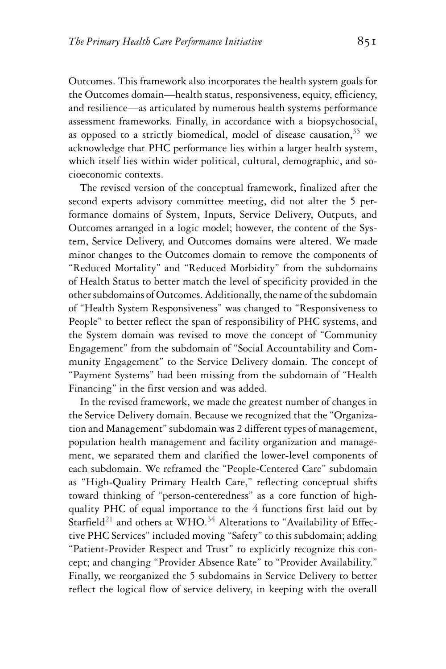Outcomes. This framework also incorporates the health system goals for the Outcomes domain—health status, responsiveness, equity, efficiency, and resilience—as articulated by numerous health systems performance assessment frameworks. Finally, in accordance with a biopsychosocial, as opposed to a strictly biomedical, model of disease causation,  $35$  we acknowledge that PHC performance lies within a larger health system, which itself lies within wider political, cultural, demographic, and socioeconomic contexts.

The revised version of the conceptual framework, finalized after the second experts advisory committee meeting, did not alter the 5 performance domains of System, Inputs, Service Delivery, Outputs, and Outcomes arranged in a logic model; however, the content of the System, Service Delivery, and Outcomes domains were altered. We made minor changes to the Outcomes domain to remove the components of "Reduced Mortality" and "Reduced Morbidity" from the subdomains of Health Status to better match the level of specificity provided in the other subdomains of Outcomes. Additionally, the name of the subdomain of "Health System Responsiveness" was changed to "Responsiveness to People" to better reflect the span of responsibility of PHC systems, and the System domain was revised to move the concept of "Community Engagement" from the subdomain of "Social Accountability and Community Engagement" to the Service Delivery domain. The concept of "Payment Systems" had been missing from the subdomain of "Health Financing" in the first version and was added.

In the revised framework, we made the greatest number of changes in the Service Delivery domain. Because we recognized that the "Organization and Management" subdomain was 2 different types of management, population health management and facility organization and management, we separated them and clarified the lower-level components of each subdomain. We reframed the "People-Centered Care" subdomain as "High-Quality Primary Health Care," reflecting conceptual shifts toward thinking of "person-centeredness" as a core function of highquality PHC of equal importance to the 4 functions first laid out by Starfield<sup>21</sup> and others at WHO.<sup>34</sup> Alterations to "Availability of Effective PHC Services" included moving "Safety" to this subdomain; adding "Patient-Provider Respect and Trust" to explicitly recognize this concept; and changing "Provider Absence Rate" to "Provider Availability." Finally, we reorganized the 5 subdomains in Service Delivery to better reflect the logical flow of service delivery, in keeping with the overall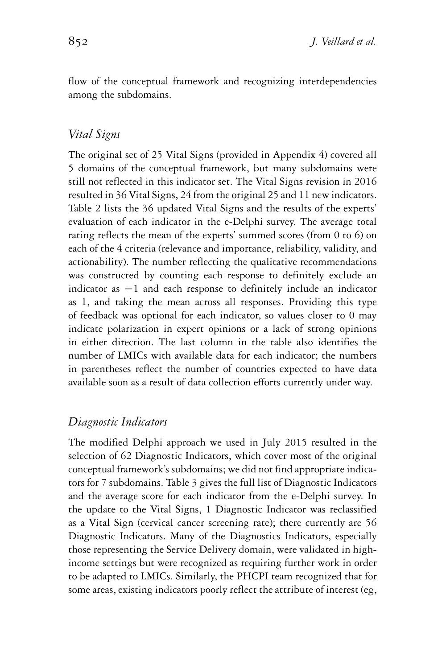flow of the conceptual framework and recognizing interdependencies among the subdomains.

#### *Vital Signs*

The original set of 25 Vital Signs (provided in Appendix 4) covered all 5 domains of the conceptual framework, but many subdomains were still not reflected in this indicator set. The Vital Signs revision in 2016 resulted in 36 Vital Signs, 24 from the original 25 and 11 new indicators. Table 2 lists the 36 updated Vital Signs and the results of the experts' evaluation of each indicator in the e-Delphi survey. The average total rating reflects the mean of the experts' summed scores (from 0 to 6) on each of the 4 criteria (relevance and importance, reliability, validity, and actionability). The number reflecting the qualitative recommendations was constructed by counting each response to definitely exclude an indicator as −1 and each response to definitely include an indicator as 1, and taking the mean across all responses. Providing this type of feedback was optional for each indicator, so values closer to 0 may indicate polarization in expert opinions or a lack of strong opinions in either direction. The last column in the table also identifies the number of LMICs with available data for each indicator; the numbers in parentheses reflect the number of countries expected to have data available soon as a result of data collection efforts currently under way.

#### *Diagnostic Indicators*

The modified Delphi approach we used in July 2015 resulted in the selection of 62 Diagnostic Indicators, which cover most of the original conceptual framework's subdomains; we did not find appropriate indicators for 7 subdomains. Table 3 gives the full list of Diagnostic Indicators and the average score for each indicator from the e-Delphi survey. In the update to the Vital Signs, 1 Diagnostic Indicator was reclassified as a Vital Sign (cervical cancer screening rate); there currently are 56 Diagnostic Indicators. Many of the Diagnostics Indicators, especially those representing the Service Delivery domain, were validated in highincome settings but were recognized as requiring further work in order to be adapted to LMICs. Similarly, the PHCPI team recognized that for some areas, existing indicators poorly reflect the attribute of interest (eg,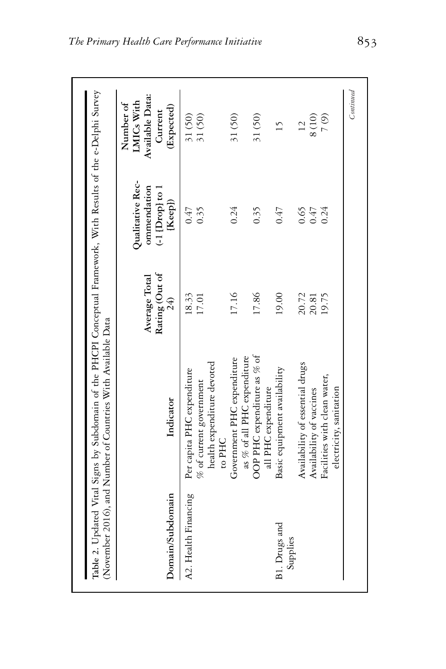|                           |                                                                   |                                        | Qualitative Rec-                            | LMICs With<br>Number of                  |
|---------------------------|-------------------------------------------------------------------|----------------------------------------|---------------------------------------------|------------------------------------------|
| Domain/Subdomain          | Indicator                                                         | Rating (Out of<br>Average Total<br>24) | ommendation<br>$(-1$ [Drop] to 1<br>[Keep]) | Available Data:<br>(Expected)<br>Current |
| A2. Health Financing      | Per capita PHC expenditure                                        | 18.33                                  | 0.47                                        | 31 (50)                                  |
|                           | health expenditure devoted<br>$%$ of current government<br>to PHC | 17.01                                  | 0.35                                        | 31 (50)                                  |
|                           | as % of all PHC expenditure<br>Government PHC expenditure         | 17.16                                  | 0.24                                        | 31 (50)                                  |
|                           | OOP PHC expenditure as % of<br>all PHC expenditure                | 17.86                                  | 0.35                                        | 31 (50)                                  |
| B1. Drugs and<br>Supplies | Basic equipment availability                                      | 19.00                                  | 0.47                                        | 15                                       |
|                           | Availability of essential drugs                                   | 20.72                                  | 0.65                                        | 12                                       |
|                           | Availability of vaccines                                          | 20.81                                  | 0.47                                        | $8(10)$                                  |
|                           | Facilities with clean water,<br>electricity, sanitation           | 19.75                                  | 0.24                                        | (6)                                      |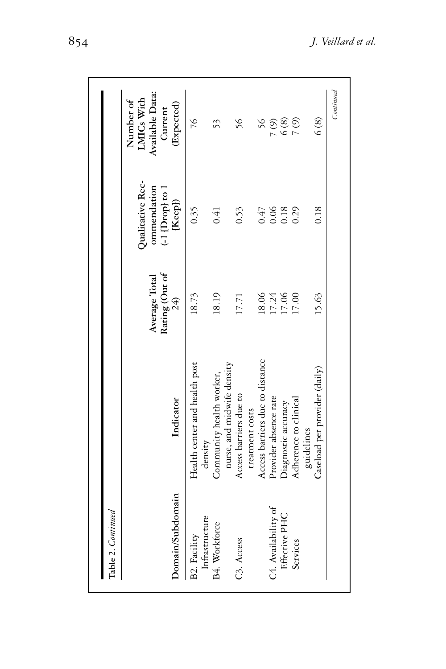| Table 2. Continued                    |                                                        |                                        |                                                                 |                                                                     |
|---------------------------------------|--------------------------------------------------------|----------------------------------------|-----------------------------------------------------------------|---------------------------------------------------------------------|
| Domain/Subdomain                      | Indicator                                              | Rating (Out of<br>Average Total<br>24) | Qualitative Rec-<br>ommendation<br>$(-1$ [Drop] to 1<br>[Keep]) | Available Data:<br>LMICs With<br>Number of<br>(Expected)<br>Current |
| Infrastructure<br><b>B2. Facility</b> | Health center and health post<br>density               | 18.73                                  | 0.35                                                            | 76                                                                  |
| B4. Workforce                         | nurse, and midwife density<br>Community health worker, | 18.19                                  | 0.41                                                            | 53                                                                  |
| C <sub>3</sub> . Access               | Access barriers due to                                 | 17.71                                  | 0.53                                                            | 56                                                                  |
|                                       | Access barriers due to distance<br>treatment costs     | 18.06                                  | 0.47                                                            | 56                                                                  |
| C4. Availability of                   | Provider absence rate                                  | 17.24                                  | $0.06$<br>0.18                                                  | (6)                                                                 |
| Effective PHC                         | Diagnostic accuracy                                    | 17.06                                  |                                                                 | $6(8)$                                                              |
| Services                              | Adherence to clinical                                  | 17.00                                  | 0.29                                                            | 7(9)                                                                |
|                                       | Caseload per provider (daily)<br>guidelines            | 15.63                                  | 0.18                                                            | $\frac{6}{8}$                                                       |
|                                       |                                                        |                                        |                                                                 | Continued                                                           |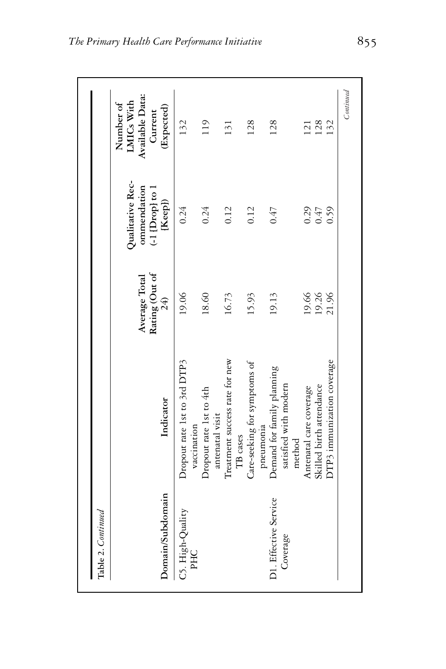| Domain/Subdomain                  | Indicator                                                     | Rating (Out of<br>Average Total<br>24) | Qualitative Rec-<br>ommendation<br>$(-1$ [Drop] to 1<br>[Keep]) | Available Data:<br>LMICs With<br>Number of<br>(Expected)<br>Current |
|-----------------------------------|---------------------------------------------------------------|----------------------------------------|-----------------------------------------------------------------|---------------------------------------------------------------------|
| C5. High-Quality<br>PHC           | Dropout rate 1st to 3rd DTP3<br>vaccination                   | 19.06                                  | 0.24                                                            | 132                                                                 |
|                                   | Dropout rate 1st to 4th<br>antenatal visit                    | 18.60                                  | 0.24                                                            | 119                                                                 |
|                                   | Treatment success rate for new<br>TB cases                    | 16.73                                  | 0.12                                                            | 131                                                                 |
|                                   | Care-seeking for symptoms of<br>pneumonia                     | 15.93                                  | 0.12                                                            | 128                                                                 |
| D1. Effective Service<br>Coverage | Demand for family planning<br>satisfied with modern<br>method | 19.13                                  | $f \neq 0$                                                      | 128                                                                 |
|                                   | Antenatal care coverage                                       | 19.66                                  | $0.29$<br>$0.47$                                                | 121                                                                 |
|                                   | Skilled birth attendance                                      | 19.26                                  |                                                                 | 128                                                                 |
|                                   | DTP3 immunization coverage                                    | 21.96                                  | 0.59                                                            | 132                                                                 |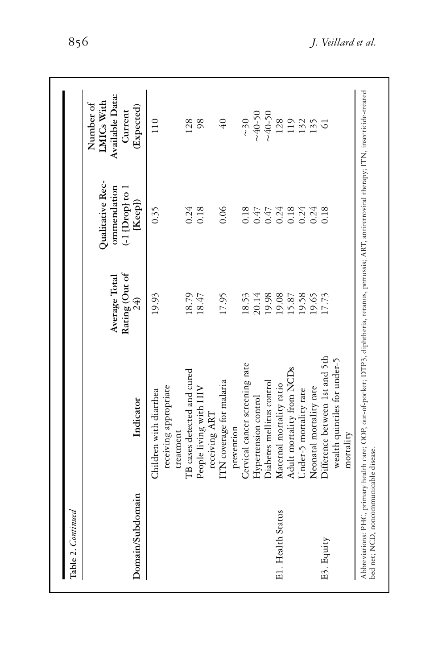| Table 2. Continued |                                                                |                                        |                                                                |                                                                     |
|--------------------|----------------------------------------------------------------|----------------------------------------|----------------------------------------------------------------|---------------------------------------------------------------------|
| Domain/Subdomain   | Indicator                                                      | Rating (Out of<br>Average Total<br>24) | Qualitative Rec-<br>ommendation<br>$(-1$ [Drop] to 1<br>[Keep] | Available Data:<br>LMICs With<br>Number of<br>(Expected)<br>Current |
|                    | receiving appropriate<br>Children with diarrhea<br>treatment   | 19.93                                  | 0.35                                                           | 110                                                                 |
|                    | TB cases detected and cured                                    | 18.79                                  | 0.24                                                           | 128                                                                 |
|                    | People living with HIV<br>receiving ART                        | 18.47                                  | 0.18                                                           | 98                                                                  |
|                    | ITN coverage for malaria<br>prevention                         | 17.95                                  | 0.06                                                           | $\sqrt{40}$                                                         |
|                    | Cervical cancer screening rate                                 | 18.53                                  | 0.18                                                           | $\sim$ 30                                                           |
|                    | Hypertension control                                           | 20.14                                  |                                                                | $~10-40-50$                                                         |
|                    | Diabetes mellitus control                                      |                                        | 0.47<br>0.47<br>0.24<br>0.18                                   | ~0.50                                                               |
| E1. Health Status  | Maternal mortality ratio                                       | 19.98<br>19.08                         |                                                                |                                                                     |
|                    | Adult mortality from NCDs                                      | 15.87                                  |                                                                | $128$<br>$132$<br>$15$<br>$5$<br>$6$                                |
|                    | Under-5 mortality rate                                         | 19.58                                  | 0.24                                                           |                                                                     |
|                    | Neonatal mortality rate                                        | 19.65                                  | 0.24                                                           |                                                                     |
| E3. Equity         | Difference between 1st and 5th<br>wealth quintiles for under-5 | 17.73                                  | 0.18                                                           |                                                                     |
|                    | mortality                                                      |                                        |                                                                |                                                                     |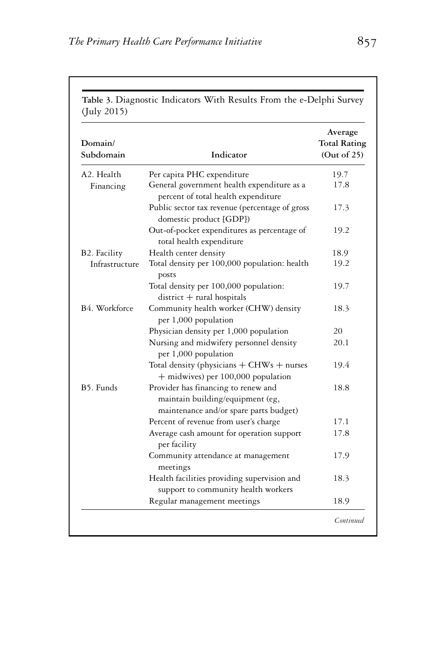| Domain/<br>Subdomain    | Indicator                                                                                                         | Average<br><b>Total Rating</b><br>(Out of 25) |
|-------------------------|-------------------------------------------------------------------------------------------------------------------|-----------------------------------------------|
| A <sub>2</sub> . Health | Per capita PHC expenditure                                                                                        | 19.7                                          |
| Financing               | General government health expenditure as a<br>percent of total health expenditure                                 | 17.8                                          |
|                         | Public sector tax revenue (percentage of gross<br>domestic product [GDP])                                         | 17.3                                          |
|                         | Out-of-pocket expenditures as percentage of<br>total health expenditure                                           | 19.2                                          |
| B2. Facility            | Health center density                                                                                             | 18.9                                          |
| Infrastructure          | Total density per 100,000 population: health<br>posts                                                             | 19.2                                          |
|                         | Total density per 100,000 population:<br>$district + rural$ hospitals                                             | 19.7                                          |
| B4. Workforce           | Community health worker (CHW) density<br>per 1,000 population                                                     | 18.3                                          |
|                         | Physician density per 1,000 population                                                                            | 20                                            |
|                         | Nursing and midwifery personnel density<br>per 1,000 population                                                   | 20.1                                          |
|                         | Total density (physicians $+$ CHWs $+$ nurses<br>$+$ midwives) per 100,000 population                             | 19.4                                          |
| B5. Funds               | Provider has financing to renew and<br>maintain building/equipment (eg,<br>maintenance and/or spare parts budget) | 18.8                                          |
|                         | Percent of revenue from user's charge                                                                             | 17.1                                          |
|                         | Average cash amount for operation support<br>per facility                                                         | 17.8                                          |
|                         | Community attendance at management<br>meetings                                                                    | 17.9                                          |
|                         | Health facilities providing supervision and<br>support to community health workers                                | 18.3                                          |
|                         | Regular management meetings                                                                                       | 18.9                                          |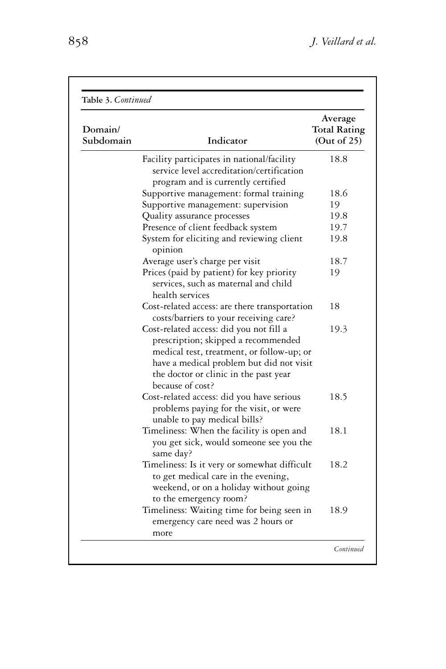| Domain/<br>Subdomain | Indicator                                                                                                                                                                                                                            | Average<br><b>Total Rating</b><br>(Out of $25$ ) |
|----------------------|--------------------------------------------------------------------------------------------------------------------------------------------------------------------------------------------------------------------------------------|--------------------------------------------------|
|                      | Facility participates in national/facility                                                                                                                                                                                           | 18.8                                             |
|                      | service level accreditation/certification<br>program and is currently certified                                                                                                                                                      |                                                  |
|                      | Supportive management: formal training                                                                                                                                                                                               | 18.6                                             |
|                      | Supportive management: supervision                                                                                                                                                                                                   | 19                                               |
|                      | Quality assurance processes                                                                                                                                                                                                          | 19.8                                             |
|                      | Presence of client feedback system                                                                                                                                                                                                   | 19.7                                             |
|                      | System for eliciting and reviewing client<br>opinion                                                                                                                                                                                 | 19.8                                             |
|                      | Average user's charge per visit                                                                                                                                                                                                      | 18.7                                             |
|                      | Prices (paid by patient) for key priority<br>services, such as maternal and child<br>health services                                                                                                                                 | 19                                               |
|                      | Cost-related access: are there transportation<br>costs/barriers to your receiving care?                                                                                                                                              | 18                                               |
|                      | Cost-related access: did you not fill a<br>prescription; skipped a recommended<br>medical test, treatment, or follow-up; or<br>have a medical problem but did not visit<br>the doctor or clinic in the past year<br>because of cost? | 19.3                                             |
|                      | Cost-related access: did you have serious<br>problems paying for the visit, or were<br>unable to pay medical bills?                                                                                                                  | 18.5                                             |
|                      | Timeliness: When the facility is open and<br>you get sick, would someone see you the<br>same day?                                                                                                                                    | 18.1                                             |
|                      | Timeliness: Is it very or somewhat difficult<br>to get medical care in the evening,<br>weekend, or on a holiday without going<br>to the emergency room?                                                                              | 18.2                                             |
|                      | Timeliness: Waiting time for being seen in<br>emergency care need was 2 hours or<br>more                                                                                                                                             | 18.9                                             |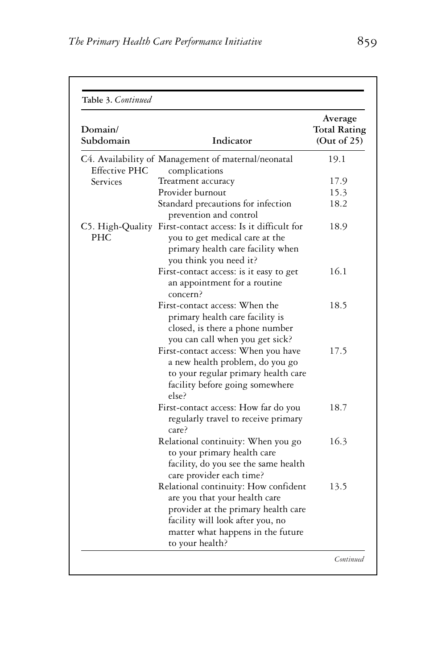| Domain/<br>Subdomain | Indicator                                                                                                                                                                                                | Average<br><b>Total Rating</b><br>(Out of 25) |
|----------------------|----------------------------------------------------------------------------------------------------------------------------------------------------------------------------------------------------------|-----------------------------------------------|
| Effective PHC        | C4. Availability of Management of maternal/neonatal<br>complications                                                                                                                                     | 19.1                                          |
| Services             | Treatment accuracy                                                                                                                                                                                       | 17.9                                          |
|                      | Provider burnout                                                                                                                                                                                         | 15.3                                          |
|                      | Standard precautions for infection<br>prevention and control                                                                                                                                             | 18.2                                          |
| <b>PHC</b>           | C5. High-Quality First-contact access: Is it difficult for<br>you to get medical care at the<br>primary health care facility when<br>you think you need it?                                              | 18.9                                          |
|                      | First-contact access: is it easy to get<br>an appointment for a routine<br>concern?                                                                                                                      | 16.1                                          |
|                      | First-contact access: When the<br>primary health care facility is<br>closed, is there a phone number<br>you can call when you get sick?                                                                  | 18.5                                          |
|                      | First-contact access: When you have<br>a new health problem, do you go<br>to your regular primary health care<br>facility before going somewhere<br>else?                                                | 17.5                                          |
|                      | First-contact access: How far do you<br>regularly travel to receive primary<br>care?                                                                                                                     | 18.7                                          |
|                      | Relational continuity: When you go<br>to your primary health care<br>facility, do you see the same health<br>care provider each time?                                                                    | 16.3                                          |
|                      | Relational continuity: How confident<br>are you that your health care<br>provider at the primary health care<br>facility will look after you, no<br>matter what happens in the future<br>to your health? | 13.5                                          |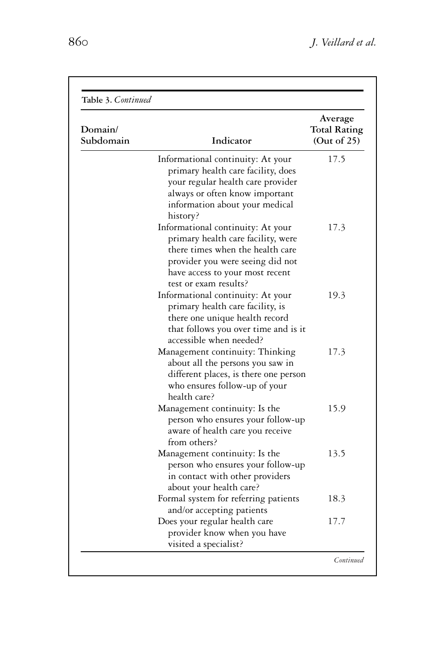| Domain/<br>Subdomain | Indicator                                                                                                                                                                                                   | Average<br><b>Total Rating</b><br>(Out of 25) |
|----------------------|-------------------------------------------------------------------------------------------------------------------------------------------------------------------------------------------------------------|-----------------------------------------------|
|                      | Informational continuity: At your<br>primary health care facility, does<br>your regular health care provider<br>always or often know important<br>information about your medical<br>history?                | 17.5                                          |
|                      | Informational continuity: At your<br>primary health care facility, were<br>there times when the health care<br>provider you were seeing did not<br>have access to your most recent<br>test or exam results? | 17.3                                          |
|                      | Informational continuity: At your<br>primary health care facility, is<br>there one unique health record<br>that follows you over time and is it<br>accessible when needed?                                  | 19.3                                          |
|                      | Management continuity: Thinking<br>about all the persons you saw in<br>different places, is there one person<br>who ensures follow-up of your<br>health care?                                               | 17.3                                          |
|                      | Management continuity: Is the<br>person who ensures your follow-up<br>aware of health care you receive<br>from others?                                                                                      | 15.9                                          |
|                      | Management continuity: Is the<br>person who ensures your follow-up<br>in contact with other providers<br>about your health care?                                                                            | 13.5                                          |
|                      | Formal system for referring patients<br>and/or accepting patients                                                                                                                                           | 18.3                                          |
|                      | Does your regular health care<br>provider know when you have<br>visited a specialist?                                                                                                                       | 17.7                                          |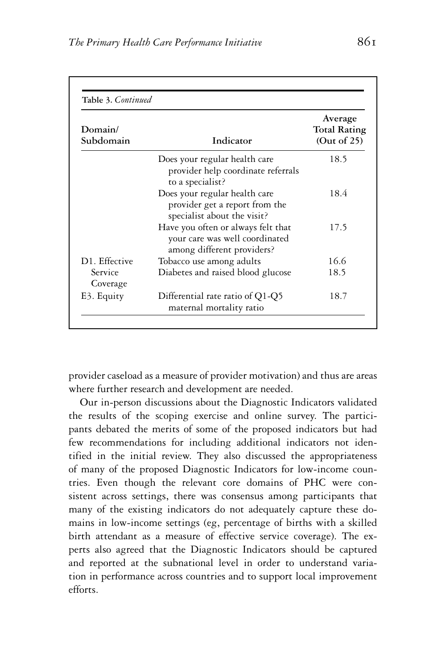| Table 3. Continued<br>Domain/<br>Subdomain | Indicator                                                                                          | Average<br><b>Total Rating</b><br>(Out of $25$ ) |
|--------------------------------------------|----------------------------------------------------------------------------------------------------|--------------------------------------------------|
|                                            | Does your regular health care<br>provider help coordinate referrals<br>to a specialist?            | 18.5                                             |
|                                            | Does your regular health care<br>provider get a report from the<br>specialist about the visit?     | 18.4                                             |
|                                            | Have you often or always felt that<br>your care was well coordinated<br>among different providers? | 17.5                                             |
| D1. Effective                              | Tobacco use among adults                                                                           | 16.6                                             |
| Service<br>Coverage                        | Diabetes and raised blood glucose                                                                  | 18.5                                             |
| E3. Equity                                 | Differential rate ratio of Q1-Q5<br>maternal mortality ratio                                       | 18.7                                             |

provider caseload as a measure of provider motivation) and thus are areas where further research and development are needed.

Our in-person discussions about the Diagnostic Indicators validated the results of the scoping exercise and online survey. The participants debated the merits of some of the proposed indicators but had few recommendations for including additional indicators not identified in the initial review. They also discussed the appropriateness of many of the proposed Diagnostic Indicators for low-income countries. Even though the relevant core domains of PHC were consistent across settings, there was consensus among participants that many of the existing indicators do not adequately capture these domains in low-income settings (eg, percentage of births with a skilled birth attendant as a measure of effective service coverage). The experts also agreed that the Diagnostic Indicators should be captured and reported at the subnational level in order to understand variation in performance across countries and to support local improvement efforts.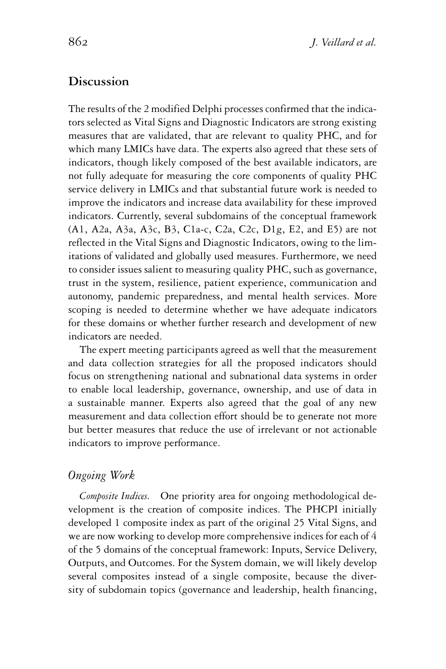#### **Discussion**

The results of the 2 modified Delphi processes confirmed that the indicators selected as Vital Signs and Diagnostic Indicators are strong existing measures that are validated, that are relevant to quality PHC, and for which many LMICs have data. The experts also agreed that these sets of indicators, though likely composed of the best available indicators, are not fully adequate for measuring the core components of quality PHC service delivery in LMICs and that substantial future work is needed to improve the indicators and increase data availability for these improved indicators. Currently, several subdomains of the conceptual framework (A1, A2a, A3a, A3c, B3, C1a-c, C2a, C2c, D1g, E2, and E5) are not reflected in the Vital Signs and Diagnostic Indicators, owing to the limitations of validated and globally used measures. Furthermore, we need to consider issues salient to measuring quality PHC, such as governance, trust in the system, resilience, patient experience, communication and autonomy, pandemic preparedness, and mental health services. More scoping is needed to determine whether we have adequate indicators for these domains or whether further research and development of new indicators are needed.

The expert meeting participants agreed as well that the measurement and data collection strategies for all the proposed indicators should focus on strengthening national and subnational data systems in order to enable local leadership, governance, ownership, and use of data in a sustainable manner. Experts also agreed that the goal of any new measurement and data collection effort should be to generate not more but better measures that reduce the use of irrelevant or not actionable indicators to improve performance.

### *Ongoing Work*

*Composite Indices.* One priority area for ongoing methodological development is the creation of composite indices. The PHCPI initially developed 1 composite index as part of the original 25 Vital Signs, and we are now working to develop more comprehensive indices for each of 4 of the 5 domains of the conceptual framework: Inputs, Service Delivery, Outputs, and Outcomes. For the System domain, we will likely develop several composites instead of a single composite, because the diversity of subdomain topics (governance and leadership, health financing,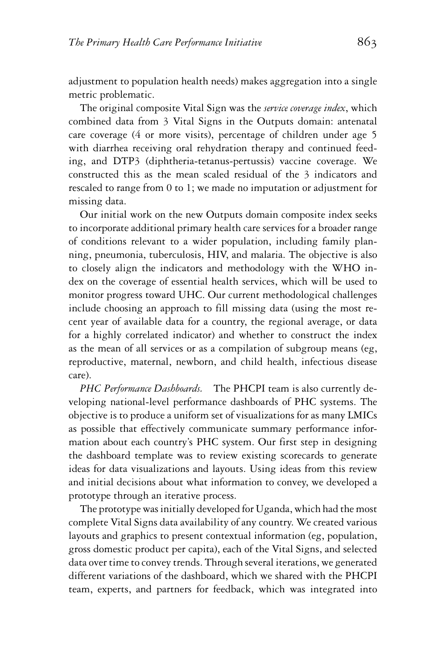adjustment to population health needs) makes aggregation into a single metric problematic.

The original composite Vital Sign was the *service coverage index*, which combined data from 3 Vital Signs in the Outputs domain: antenatal care coverage (4 or more visits), percentage of children under age 5 with diarrhea receiving oral rehydration therapy and continued feeding, and DTP3 (diphtheria-tetanus-pertussis) vaccine coverage. We constructed this as the mean scaled residual of the 3 indicators and rescaled to range from 0 to 1; we made no imputation or adjustment for missing data.

Our initial work on the new Outputs domain composite index seeks to incorporate additional primary health care services for a broader range of conditions relevant to a wider population, including family planning, pneumonia, tuberculosis, HIV, and malaria. The objective is also to closely align the indicators and methodology with the WHO index on the coverage of essential health services, which will be used to monitor progress toward UHC. Our current methodological challenges include choosing an approach to fill missing data (using the most recent year of available data for a country, the regional average, or data for a highly correlated indicator) and whether to construct the index as the mean of all services or as a compilation of subgroup means (eg, reproductive, maternal, newborn, and child health, infectious disease care).

*PHC Performance Dashboards.* The PHCPI team is also currently developing national-level performance dashboards of PHC systems. The objective is to produce a uniform set of visualizations for as many LMICs as possible that effectively communicate summary performance information about each country's PHC system. Our first step in designing the dashboard template was to review existing scorecards to generate ideas for data visualizations and layouts. Using ideas from this review and initial decisions about what information to convey, we developed a prototype through an iterative process.

The prototype was initially developed for Uganda, which had the most complete Vital Signs data availability of any country. We created various layouts and graphics to present contextual information (eg, population, gross domestic product per capita), each of the Vital Signs, and selected data over time to convey trends. Through several iterations, we generated different variations of the dashboard, which we shared with the PHCPI team, experts, and partners for feedback, which was integrated into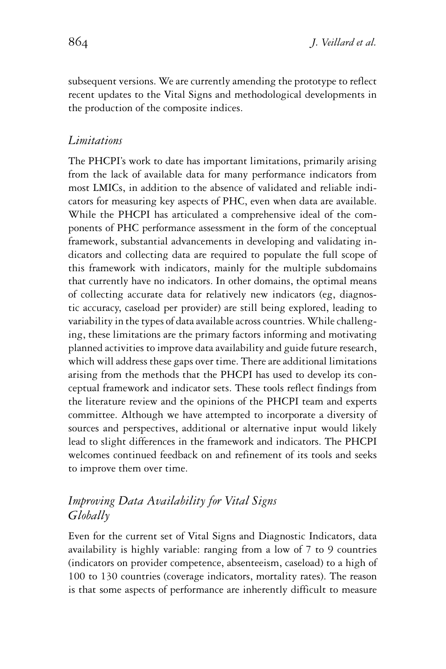subsequent versions. We are currently amending the prototype to reflect recent updates to the Vital Signs and methodological developments in the production of the composite indices.

#### *Limitations*

The PHCPI's work to date has important limitations, primarily arising from the lack of available data for many performance indicators from most LMICs, in addition to the absence of validated and reliable indicators for measuring key aspects of PHC, even when data are available. While the PHCPI has articulated a comprehensive ideal of the components of PHC performance assessment in the form of the conceptual framework, substantial advancements in developing and validating indicators and collecting data are required to populate the full scope of this framework with indicators, mainly for the multiple subdomains that currently have no indicators. In other domains, the optimal means of collecting accurate data for relatively new indicators (eg, diagnostic accuracy, caseload per provider) are still being explored, leading to variability in the types of data available across countries. While challenging, these limitations are the primary factors informing and motivating planned activities to improve data availability and guide future research, which will address these gaps over time. There are additional limitations arising from the methods that the PHCPI has used to develop its conceptual framework and indicator sets. These tools reflect findings from the literature review and the opinions of the PHCPI team and experts committee. Although we have attempted to incorporate a diversity of sources and perspectives, additional or alternative input would likely lead to slight differences in the framework and indicators. The PHCPI welcomes continued feedback on and refinement of its tools and seeks to improve them over time.

## *Improving Data Availability for Vital Signs Globally*

Even for the current set of Vital Signs and Diagnostic Indicators, data availability is highly variable: ranging from a low of 7 to 9 countries (indicators on provider competence, absenteeism, caseload) to a high of 100 to 130 countries (coverage indicators, mortality rates). The reason is that some aspects of performance are inherently difficult to measure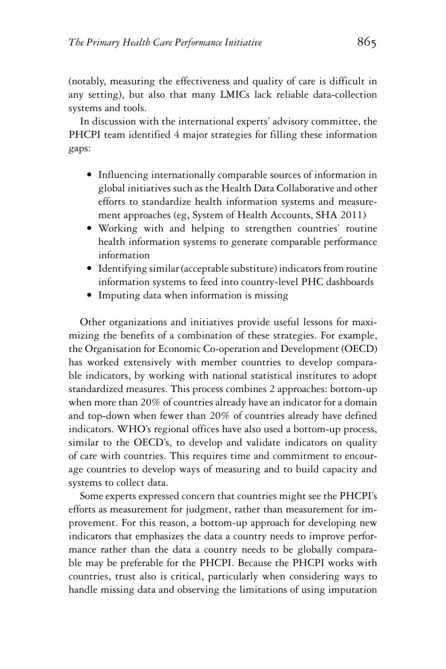(notably, measuring the effectiveness and quality of care is difficult in any setting), but also that many LMICs lack reliable data-collection systems and tools.

In discussion with the international experts' advisory committee, the PHCPI team identified 4 major strategies for filling these information gaps:

- Influencing internationally comparable sources of information in global initiatives such as the Health Data Collaborative and other efforts to standardize health information systems and measurement approaches (eg, System of Health Accounts, SHA 2011)
- Working with and helping to strengthen countries' routine health information systems to generate comparable performance information
- Identifying similar (acceptable substitute) indicators from routine information systems to feed into country-level PHC dashboards
- Imputing data when information is missing

Other organizations and initiatives provide useful lessons for maximizing the benefits of a combination of these strategies. For example, the Organisation for Economic Co-operation and Development (OECD) has worked extensively with member countries to develop comparable indicators, by working with national statistical institutes to adopt standardized measures. This process combines 2 approaches: bottom-up when more than 20% of countries already have an indicator for a domain and top-down when fewer than 20% of countries already have defined indicators. WHO's regional offices have also used a bottom-up process, similar to the OECD's, to develop and validate indicators on quality of care with countries. This requires time and commitment to encourage countries to develop ways of measuring and to build capacity and systems to collect data.

Some experts expressed concern that countries might see the PHCPI's efforts as measurement for judgment, rather than measurement for improvement. For this reason, a bottom-up approach for developing new indicators that emphasizes the data a country needs to improve performance rather than the data a country needs to be globally comparable may be preferable for the PHCPI. Because the PHCPI works with countries, trust also is critical, particularly when considering ways to handle missing data and observing the limitations of using imputation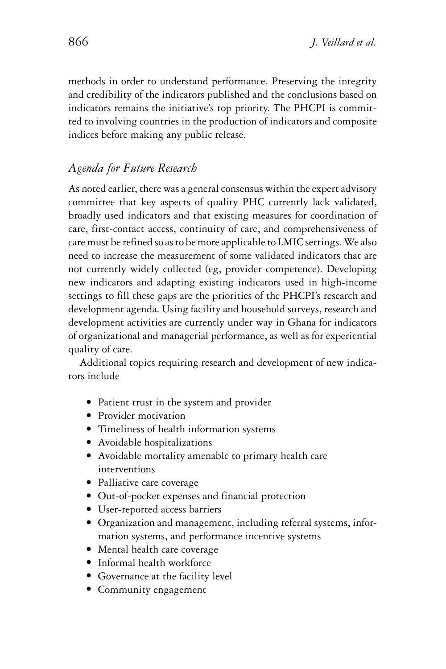methods in order to understand performance. Preserving the integrity and credibility of the indicators published and the conclusions based on indicators remains the initiative's top priority. The PHCPI is committed to involving countries in the production of indicators and composite indices before making any public release.

## *Agenda for Future Research*

As noted earlier, there was a general consensus within the expert advisory committee that key aspects of quality PHC currently lack validated, broadly used indicators and that existing measures for coordination of care, first-contact access, continuity of care, and comprehensiveness of care must be refined so as to be more applicable to LMIC settings.We also need to increase the measurement of some validated indicators that are not currently widely collected (eg, provider competence). Developing new indicators and adapting existing indicators used in high-income settings to fill these gaps are the priorities of the PHCPI's research and development agenda. Using facility and household surveys, research and development activities are currently under way in Ghana for indicators of organizational and managerial performance, as well as for experiential quality of care.

Additional topics requiring research and development of new indicators include

- Patient trust in the system and provider
- Provider motivation
- Timeliness of health information systems
- Avoidable hospitalizations
- Avoidable mortality amenable to primary health care interventions
- · Palliative care coverage
- Out-of-pocket expenses and financial protection
- User-reported access barriers
- Organization and management, including referral systems, information systems, and performance incentive systems
- Mental health care coverage
- Informal health workforce
- Governance at the facility level
- Community engagement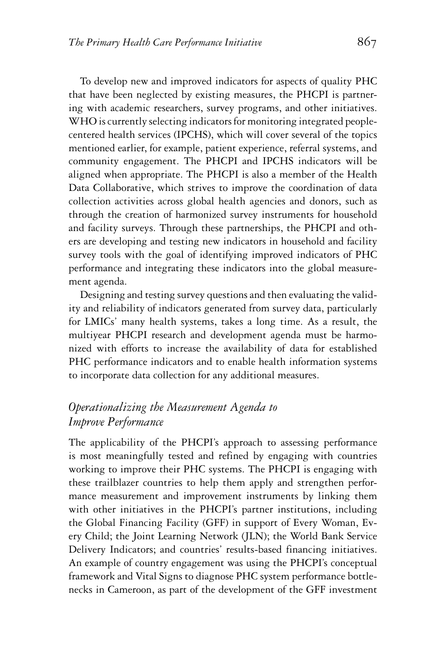To develop new and improved indicators for aspects of quality PHC that have been neglected by existing measures, the PHCPI is partnering with academic researchers, survey programs, and other initiatives. WHO is currently selecting indicators for monitoring integrated peoplecentered health services (IPCHS), which will cover several of the topics mentioned earlier, for example, patient experience, referral systems, and community engagement. The PHCPI and IPCHS indicators will be aligned when appropriate. The PHCPI is also a member of the Health Data Collaborative, which strives to improve the coordination of data collection activities across global health agencies and donors, such as through the creation of harmonized survey instruments for household and facility surveys. Through these partnerships, the PHCPI and others are developing and testing new indicators in household and facility survey tools with the goal of identifying improved indicators of PHC performance and integrating these indicators into the global measurement agenda.

Designing and testing survey questions and then evaluating the validity and reliability of indicators generated from survey data, particularly for LMICs' many health systems, takes a long time. As a result, the multiyear PHCPI research and development agenda must be harmonized with efforts to increase the availability of data for established PHC performance indicators and to enable health information systems to incorporate data collection for any additional measures.

## *Operationalizing the Measurement Agenda to Improve Performance*

The applicability of the PHCPI's approach to assessing performance is most meaningfully tested and refined by engaging with countries working to improve their PHC systems. The PHCPI is engaging with these trailblazer countries to help them apply and strengthen performance measurement and improvement instruments by linking them with other initiatives in the PHCPI's partner institutions, including the Global Financing Facility (GFF) in support of Every Woman, Every Child; the Joint Learning Network (JLN); the World Bank Service Delivery Indicators; and countries' results-based financing initiatives. An example of country engagement was using the PHCPI's conceptual framework and Vital Signs to diagnose PHC system performance bottlenecks in Cameroon, as part of the development of the GFF investment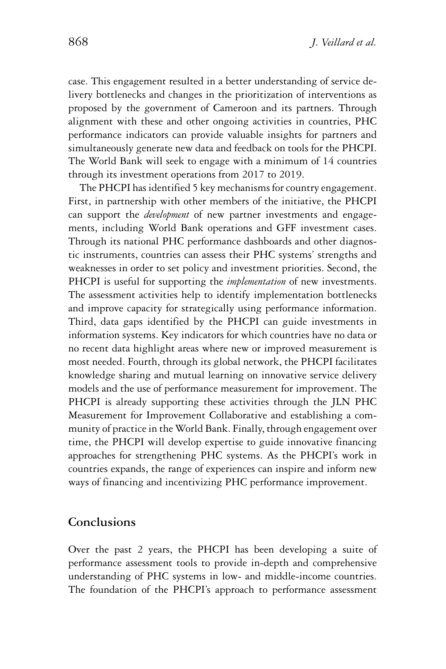case. This engagement resulted in a better understanding of service delivery bottlenecks and changes in the prioritization of interventions as proposed by the government of Cameroon and its partners. Through alignment with these and other ongoing activities in countries, PHC performance indicators can provide valuable insights for partners and simultaneously generate new data and feedback on tools for the PHCPI. The World Bank will seek to engage with a minimum of 14 countries through its investment operations from 2017 to 2019.

The PHCPI has identified 5 key mechanisms for country engagement. First, in partnership with other members of the initiative, the PHCPI can support the *development* of new partner investments and engagements, including World Bank operations and GFF investment cases. Through its national PHC performance dashboards and other diagnostic instruments, countries can assess their PHC systems' strengths and weaknesses in order to set policy and investment priorities. Second, the PHCPI is useful for supporting the *implementation* of new investments. The assessment activities help to identify implementation bottlenecks and improve capacity for strategically using performance information. Third, data gaps identified by the PHCPI can guide investments in information systems. Key indicators for which countries have no data or no recent data highlight areas where new or improved measurement is most needed. Fourth, through its global network, the PHCPI facilitates knowledge sharing and mutual learning on innovative service delivery models and the use of performance measurement for improvement. The PHCPI is already supporting these activities through the JLN PHC Measurement for Improvement Collaborative and establishing a community of practice in the World Bank. Finally, through engagement over time, the PHCPI will develop expertise to guide innovative financing approaches for strengthening PHC systems. As the PHCPI's work in countries expands, the range of experiences can inspire and inform new ways of financing and incentivizing PHC performance improvement.

#### **Conclusions**

Over the past 2 years, the PHCPI has been developing a suite of performance assessment tools to provide in-depth and comprehensive understanding of PHC systems in low- and middle-income countries. The foundation of the PHCPI's approach to performance assessment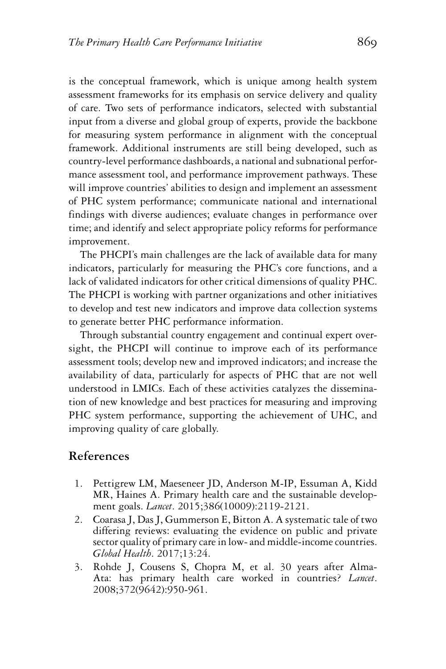is the conceptual framework, which is unique among health system assessment frameworks for its emphasis on service delivery and quality of care. Two sets of performance indicators, selected with substantial input from a diverse and global group of experts, provide the backbone for measuring system performance in alignment with the conceptual framework. Additional instruments are still being developed, such as country-level performance dashboards, a national and subnational performance assessment tool, and performance improvement pathways. These will improve countries' abilities to design and implement an assessment of PHC system performance; communicate national and international findings with diverse audiences; evaluate changes in performance over time; and identify and select appropriate policy reforms for performance improvement.

The PHCPI's main challenges are the lack of available data for many indicators, particularly for measuring the PHC's core functions, and a lack of validated indicators for other critical dimensions of quality PHC. The PHCPI is working with partner organizations and other initiatives to develop and test new indicators and improve data collection systems to generate better PHC performance information.

Through substantial country engagement and continual expert oversight, the PHCPI will continue to improve each of its performance assessment tools; develop new and improved indicators; and increase the availability of data, particularly for aspects of PHC that are not well understood in LMICs. Each of these activities catalyzes the dissemination of new knowledge and best practices for measuring and improving PHC system performance, supporting the achievement of UHC, and improving quality of care globally.

#### **References**

- 1. Pettigrew LM, Maeseneer JD, Anderson M-IP, Essuman A, Kidd MR, Haines A. Primary health care and the sustainable development goals. *Lancet*. 2015;386(10009):2119-2121.
- 2. Coarasa J, Das J, Gummerson E, Bitton A. A systematic tale of two differing reviews: evaluating the evidence on public and private sector quality of primary care in low- and middle-income countries. *Global Health*. 2017;13:24.
- 3. Rohde J, Cousens S, Chopra M, et al. 30 years after Alma-Ata: has primary health care worked in countries? *Lancet*. 2008;372(9642):950-961.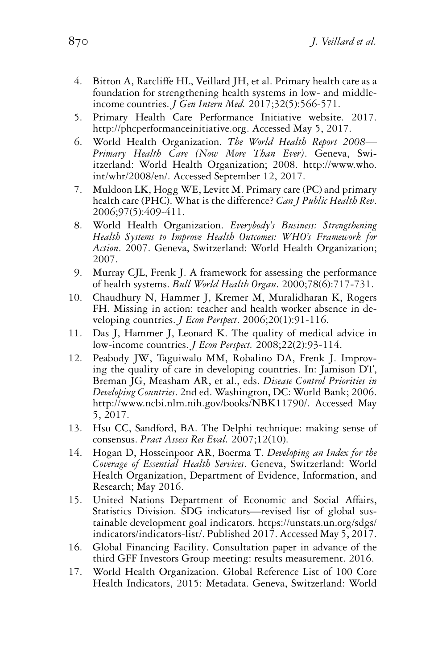- 4. Bitton A, Ratcliffe HL, Veillard JH, et al. Primary health care as a foundation for strengthening health systems in low- and middleincome countries. *J Gen Intern Med.* 2017;32(5):566-571.
- 5. Primary Health Care Performance Initiative website. 2017. [http://phcperformanceinitiative.org.](http://phcperformanceinitiative.org) Accessed May 5, 2017.
- 6. World Health Organization. *The World Health Report 2008— Primary Health Care (Now More Than Ever)*. Geneva, Swiitzerland: World Health Organization; 2008. [http://www.who.](http://www.who.int/whr/2008/en/) [int/whr/2008/en/.](http://www.who.int/whr/2008/en/) Accessed September 12, 2017.
- 7. Muldoon LK, Hogg WE, Levitt M. Primary care (PC) and primary health care (PHC). What is the difference? *Can J Public Health Rev*. 2006;97(5):409-411.
- 8. World Health Organization. *Everybody's Business: Strengthening Health Systems to Improve Health Outcomes: WHO's Framework for Action*. 2007. Geneva, Switzerland: World Health Organization; 2007.
- 9. Murray CJL, Frenk J. A framework for assessing the performance of health systems. *Bull World Health Organ*. 2000;78(6):717-731.
- 10. Chaudhury N, Hammer J, Kremer M, Muralidharan K, Rogers FH. Missing in action: teacher and health worker absence in developing countries. *J Econ Perspect*. 2006;20(1):91-116.
- 11. Das J, Hammer J, Leonard K. The quality of medical advice in low-income countries. *J Econ Perspect.* 2008;22(2):93-114.
- 12. Peabody JW, Taguiwalo MM, Robalino DA, Frenk J. Improving the quality of care in developing countries. In: Jamison DT, Breman JG, Measham AR, et al., eds. *Disease Control Priorities in Developing Countries*. 2nd ed. Washington, DC: World Bank; 2006. [http://www.ncbi.nlm.nih.gov/books/NBK11790/.](http://www.ncbi.nlm.nih.gov/books/NBK11790/) Accessed May 5, 2017.
- 13. Hsu CC, Sandford, BA. The Delphi technique: making sense of consensus. *Pract Assess Res Eval.* 2007;12(10).
- 14. Hogan D, Hosseinpoor AR, Boerma T. *Developing an Index for the Coverage of Essential Health Services*. Geneva, Switzerland: World Health Organization, Department of Evidence, Information, and Research; May 2016.
- 15. United Nations Department of Economic and Social Affairs, Statistics Division. SDG indicators—revised list of global sustainable development goal indicators. [https://unstats.un.org/sdgs/](https://unstats.un.org/sdgs/indicators/indicators-list/) [indicators/indicators-list/.](https://unstats.un.org/sdgs/indicators/indicators-list/) Published 2017. Accessed May 5, 2017.
- 16. Global Financing Facility. Consultation paper in advance of the third GFF Investors Group meeting: results measurement. 2016.
- 17. World Health Organization. Global Reference List of 100 Core Health Indicators, 2015: Metadata. Geneva, Switzerland: World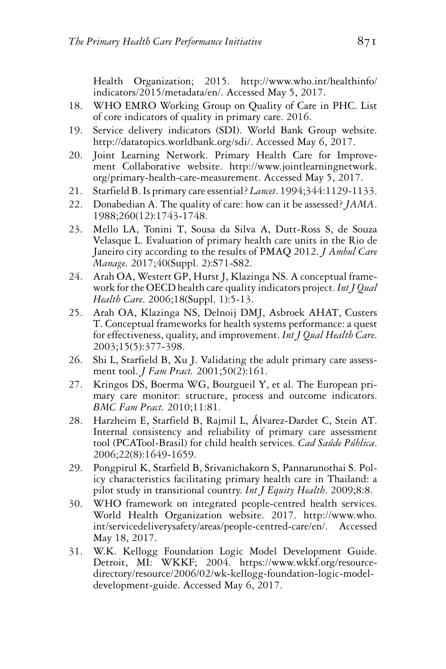Health Organization; 2015. [http://www.who.int/healthinfo/](http://www.who.int/healthinfo/indicators/2015/metadata/en/) [indicators/2015/metadata/en/.](http://www.who.int/healthinfo/indicators/2015/metadata/en/) Accessed May 5, 2017.

- 18. WHO EMRO Working Group on Quality of Care in PHC. List of core indicators of quality in primary care. 2016.
- 19. Service delivery indicators (SDI). World Bank Group website. [http://datatopics.worldbank.org/sdi/.](http://datatopics.worldbank.org/sdi/) Accessed May 6, 2017.
- 20. Joint Learning Network. Primary Health Care for Improvement Collaborative website. [http://www.jointlearningnetwork.](http://www.jointlearningnetwork.org/primary-health-care-measurement) [org/primary-health-care-measurement.](http://www.jointlearningnetwork.org/primary-health-care-measurement) Accessed May 5, 2017.
- 21. Starfield B. Is primary care essential? *Lancet*. 1994;344:1129-1133.
- 22. Donabedian A. The quality of care: how can it be assessed? *JAMA*. 1988;260(12):1743-1748.
- 23. Mello LA, Tonini T, Sousa da Silva A, Dutt-Ross S, de Souza Velasque L. Evaluation of primary health care units in the Rio de Janeiro city according to the results of PMAQ 2012. *J Ambul Care Manage*. 2017;40(Suppl. 2):S71-S82.
- 24. Arah OA, Westert GP, Hurst J, Klazinga NS. A conceptual framework for the OECD health care quality indicators project.*Int J Qual Health Care*. 2006;18(Suppl. 1):5-13.
- 25. Arah OA, Klazinga NS, Delnoij DMJ, Asbroek AHAT, Custers T. Conceptual frameworks for health systems performance: a quest for effectiveness, quality, and improvement. *Int J Qual Health Care*. 2003;15(5):377-398.
- 26. Shi L, Starfield B, Xu J. Validating the adult primary care assessment tool. *J Fam Pract.* 2001;50(2):161.
- 27. Kringos DS, Boerma WG, Bourgueil Y, et al. The European primary care monitor: structure, process and outcome indicators. *BMC Fam Pract.* 2010;11:81.
- 28. Harzheim E, Starfield B, Rajmil L, Alvarez-Dardet C, Stein AT. ´ Internal consistency and reliability of primary care assessment tool (PCATool-Brasil) for child health services. *Cad Sa´ude P´ublica*. 2006;22(8):1649-1659.
- 29. Pongpirul K, Starfield B, Srivanichakorn S, Pannarunothai S. Policy characteristics facilitating primary health care in Thailand: a pilot study in transitional country. *Int J Equity Health*. 2009;8:8.
- 30. WHO framework on integrated people-centred health services. World Health Organization website. 2017. [http://www.who.](http://www.who.int/servicedeliverysafety/areas/people-centred-care/en/) [int/servicedeliverysafety/areas/people-centred-care/en/.](http://www.who.int/servicedeliverysafety/areas/people-centred-care/en/) Accessed May 18, 2017.
- 31. W.K. Kellogg Foundation Logic Model Development Guide. Detroit, MI: WKKF; 2004. [https://www.wkkf.org/resource](https://www.wkkf.org/resource-directory/resource/2006/02/wk-kellogg-foundation-logic-model-development-guide)[directory/resource/2006/02/wk-kellogg-foundation-logic-model](https://www.wkkf.org/resource-directory/resource/2006/02/wk-kellogg-foundation-logic-model-development-guide)[development-guide.](https://www.wkkf.org/resource-directory/resource/2006/02/wk-kellogg-foundation-logic-model-development-guide) Accessed May 6, 2017.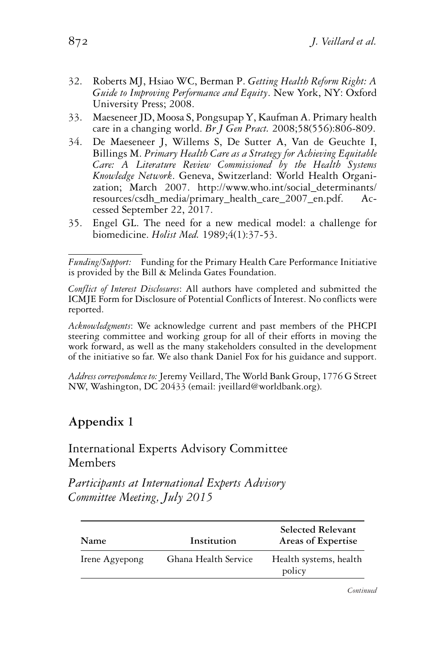- 32. Roberts MJ, Hsiao WC, Berman P. *Getting Health Reform Right: A Guide to Improving Performance and Equity*. New York, NY: Oxford University Press; 2008.
- 33. Maeseneer JD, Moosa S, Pongsupap Y, Kaufman A. Primary health care in a changing world. *Br J Gen Pract.* 2008;58(556):806-809.
- 34. De Maeseneer J, Willems S, De Sutter A, Van de Geuchte I, Billings M. *Primary Health Care as a Strategy for Achieving Equitable Care: A Literature Review Commissioned by the Health Systems Knowledge Network*. Geneva, Switzerland: World Health Organization; March 2007. [http://www.who.int/social\\_determinants/](http://www.who.int/social_determinants/resources/csdh_media/primary_health_care_2007_en.pdf) [resources/csdh\\_media/primary\\_health\\_care\\_2007\\_en.pdf.](http://www.who.int/social_determinants/resources/csdh_media/primary_health_care_2007_en.pdf) Accessed September 22, 2017.
- 35. Engel GL. The need for a new medical model: a challenge for biomedicine. *Holist Med.* 1989;4(1):37-53.

*Acknowledgments*: We acknowledge current and past members of the PHCPI steering committee and working group for all of their efforts in moving the work forward, as well as the many stakeholders consulted in the development of the initiative so far. We also thank Daniel Fox for his guidance and support.

*Address correspondence to:*Jeremy Veillard, The World Bank Group, 1776 G Street NW, Washington, DC 20433 (email: jveillard@worldbank.org).

## **Appendix 1**

### International Experts Advisory Committee Members

*Participants at International Experts Advisory Committee Meeting, July 2015*

| Name           | Institution          | <b>Selected Relevant</b><br>Areas of Expertise |
|----------------|----------------------|------------------------------------------------|
| Irene Agyepong | Ghana Health Service | Health systems, health<br>policy               |

*Funding/Support:* Funding for the Primary Health Care Performance Initiative is provided by the Bill & Melinda Gates Foundation.

*Conflict of Interest Disclosures*: All authors have completed and submitted the ICMJE Form for Disclosure of Potential Conflicts of Interest. No conflicts were reported.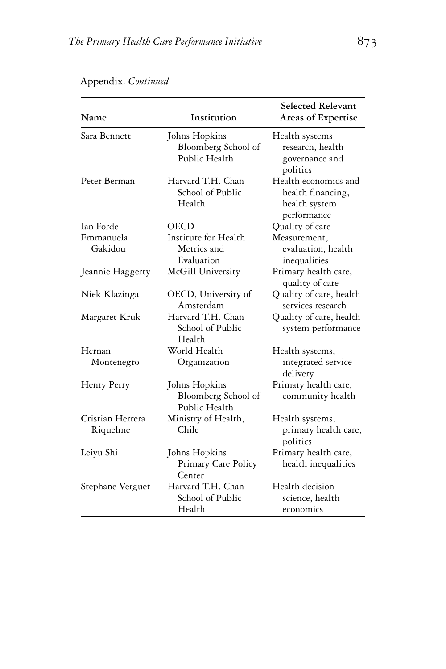| Name                         | Institution                                           | <b>Selected Relevant</b><br>Areas of Expertise                            |
|------------------------------|-------------------------------------------------------|---------------------------------------------------------------------------|
| Sara Bennett                 | Johns Hopkins<br>Bloomberg School of<br>Public Health | Health systems<br>research, health<br>governance and<br>politics          |
| Peter Berman                 | Harvard T.H. Chan<br>School of Public<br>Health       | Health economics and<br>health financing,<br>health system<br>performance |
| Ian Forde                    | OECD                                                  | Quality of care                                                           |
| Emmanuela<br>Gakidou         | Institute for Health<br>Metrics and<br>Evaluation     | Measurement,<br>evaluation, health<br>inequalities                        |
| Jeannie Haggerty             | McGill University                                     | Primary health care,<br>quality of care                                   |
| Niek Klazinga                | OECD, University of<br>Amsterdam                      | Quality of care, health<br>services research                              |
| Margaret Kruk                | Harvard T.H. Chan<br>School of Public<br>Health       | Quality of care, health<br>system performance                             |
| Hernan                       | World Health                                          | Health systems,                                                           |
| Montenegro                   | Organization                                          | integrated service<br>delivery                                            |
| Henry Perry                  | Johns Hopkins<br>Bloomberg School of<br>Public Health | Primary health care,<br>community health                                  |
| Cristian Herrera<br>Riquelme | Ministry of Health,<br>Chile                          | Health systems,<br>primary health care,<br>politics                       |
| Leiyu Shi                    | Johns Hopkins<br>Primary Care Policy<br>Center        | Primary health care,<br>health inequalities                               |
| Stephane Verguet             | Harvard T.H. Chan<br>School of Public<br>Health       | Health decision<br>science, health<br>economics                           |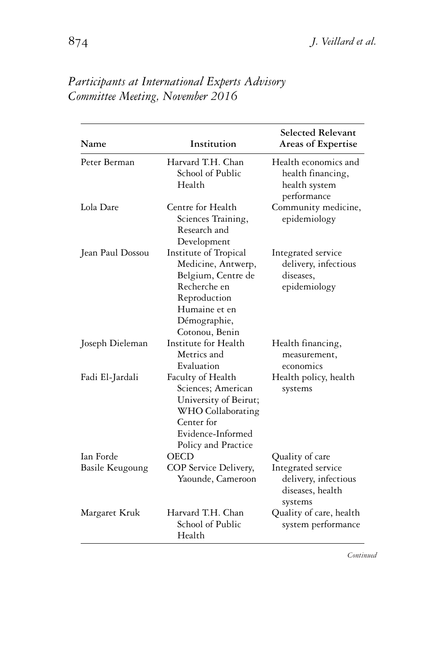| Name                   | Institution                                                                                                                                          | <b>Selected Relevant</b><br>Areas of Expertise                            |
|------------------------|------------------------------------------------------------------------------------------------------------------------------------------------------|---------------------------------------------------------------------------|
| Peter Berman           | Harvard T.H. Chan<br>School of Public<br>Health                                                                                                      | Health economics and<br>health financing,<br>health system<br>performance |
| Lola Dare              | Centre for Health<br>Sciences Training,<br>Research and<br>Development                                                                               | Community medicine,<br>epidemiology                                       |
| Jean Paul Dossou       | Institute of Tropical<br>Medicine, Antwerp,<br>Belgium, Centre de<br>Recherche en<br>Reproduction<br>Humaine et en<br>Démographie,<br>Cotonou, Benin | Integrated service<br>delivery, infectious<br>diseases,<br>epidemiology   |
| Joseph Dieleman        | Institute for Health<br>Metrics and<br>Evaluation                                                                                                    | Health financing,<br>measurement,<br>economics                            |
| Fadi El-Jardali        | Faculty of Health<br>Sciences; American<br>University of Beirut;<br>WHO Collaborating<br>Center for<br>Evidence-Informed<br>Policy and Practice      | Health policy, health<br>systems                                          |
| Ian Forde              | <b>OECD</b>                                                                                                                                          | Quality of care                                                           |
| <b>Basile Keugoung</b> | COP Service Delivery,<br>Yaounde, Cameroon                                                                                                           | Integrated service<br>delivery, infectious<br>diseases, health<br>systems |
| Margaret Kruk          | Harvard T.H. Chan<br>School of Public<br>Health                                                                                                      | Quality of care, health<br>system performance                             |

*Participants at International Experts Advisory Committee Meeting, November 2016*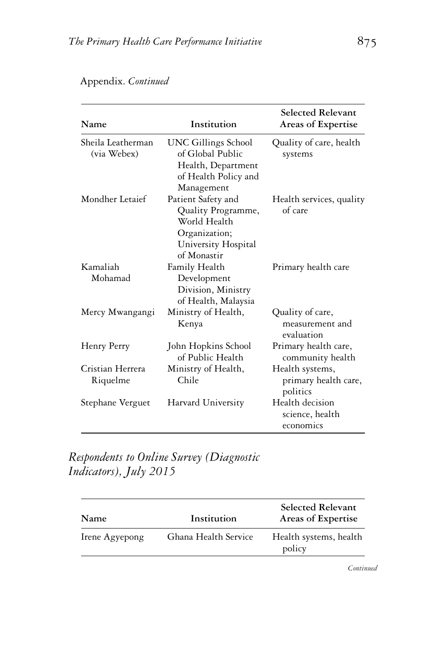| Name                             | Institution                                                                                                     | Selected Relevant<br>Areas of Expertise             |
|----------------------------------|-----------------------------------------------------------------------------------------------------------------|-----------------------------------------------------|
| Sheila Leatherman<br>(via Webex) | <b>UNC Gillings School</b><br>of Global Public<br>Health, Department<br>of Health Policy and<br>Management      | Quality of care, health<br>systems                  |
| Mondher Letaief                  | Patient Safety and<br>Quality Programme,<br>World Health<br>Organization;<br>University Hospital<br>of Monastir | Health services, quality<br>of care                 |
| Kamaliah<br>Mohamad              | Family Health<br>Development<br>Division, Ministry<br>of Health, Malaysia                                       | Primary health care                                 |
| Mercy Mwangangi                  | Ministry of Health,<br>Kenya                                                                                    | Quality of care,<br>measurement and<br>evaluation   |
| Henry Perry                      | John Hopkins School<br>of Public Health                                                                         | Primary health care,<br>community health            |
| Cristian Herrera<br>Riquelme     | Ministry of Health,<br>Chile                                                                                    | Health systems,<br>primary health care,<br>politics |
| Stephane Verguet                 | Harvard University                                                                                              | Health decision<br>science, health<br>economics     |

*Respondents to Online Survey (Diagnostic Indicators), July 2015*

| Name           | Institution          | <b>Selected Relevant</b><br>Areas of Expertise |
|----------------|----------------------|------------------------------------------------|
| Irene Agyepong | Ghana Health Service | Health systems, health<br>policy               |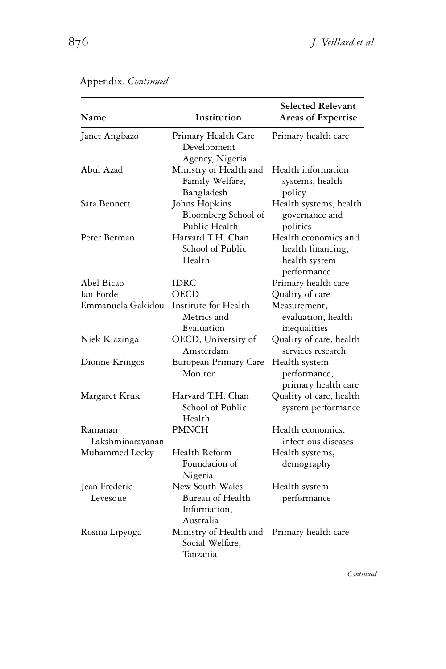| Name                        | Institution                                                      | Selected Relevant<br>Areas of Expertise                                   |
|-----------------------------|------------------------------------------------------------------|---------------------------------------------------------------------------|
| Janet Angbazo               | Primary Health Care<br>Development<br>Agency, Nigeria            | Primary health care                                                       |
| Abul Azad                   | Ministry of Health and<br>Family Welfare,<br>Bangladesh          | Health information<br>systems, health<br>policy                           |
| Sara Bennett                | Johns Hopkins<br>Bloomberg School of<br>Public Health            | Health systems, health<br>governance and<br>politics                      |
| Peter Berman                | Harvard T.H. Chan<br>School of Public<br>Health                  | Health economics and<br>health financing,<br>health system<br>performance |
| Abel Bicao                  | IDRC                                                             | Primary health care                                                       |
| Ian Forde                   | OECD                                                             | Quality of care                                                           |
| Emmanuela Gakidou           | Institute for Health<br>Metrics and<br>Evaluation                | Measurement,<br>evaluation, health<br>inequalities                        |
| Niek Klazinga               | OECD, University of<br>Amsterdam                                 | Quality of care, health<br>services research                              |
| Dionne Kringos              | European Primary Care<br>Monitor                                 | Health system<br>performance,<br>primary health care                      |
| Margaret Kruk               | Harvard T.H. Chan<br>School of Public<br>Health                  | Quality of care, health<br>system performance                             |
| Ramanan<br>Lakshminarayanan | <b>PMNCH</b>                                                     | Health economics,<br>infectious diseases                                  |
| Muhammed Lecky              | Health Reform<br>Foundation of<br>Nigeria                        | Health systems,<br>demography                                             |
| Jean Frederic<br>Levesque   | New South Wales<br>Bureau of Health<br>Information,<br>Australia | Health system<br>performance                                              |
| Rosina Lipyoga              | Ministry of Health and<br>Social Welfare,<br>Tanzania            | Primary health care                                                       |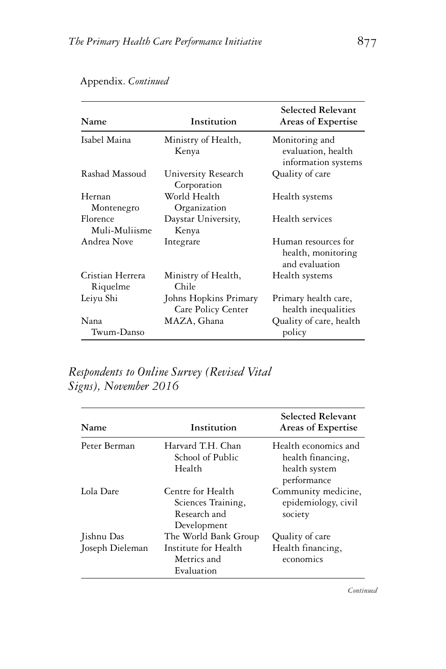| Name                         | Institution                                 | Selected Relevant<br>Areas of Expertise                     |
|------------------------------|---------------------------------------------|-------------------------------------------------------------|
| Isabel Maina                 | Ministry of Health,<br>Kenya                | Monitoring and<br>evaluation, health<br>information systems |
| Rashad Massoud               | University Research<br>Corporation          | Quality of care                                             |
| Hernan<br>Montenegro         | World Health<br>Organization                | Health systems                                              |
| Florence<br>Muli-Muliisme    | Daystar University,<br>Kenya                | Health services                                             |
| Andrea Nove                  | Integrare                                   | Human resources for<br>health, monitoring<br>and evaluation |
| Cristian Herrera<br>Riquelme | Ministry of Health,<br>Chile                | Health systems                                              |
| Leiyu Shi                    | Johns Hopkins Primary<br>Care Policy Center | Primary health care,<br>health inequalities                 |
| Nana<br>Twum-Danso           | MAZA, Ghana                                 | Quality of care, health<br>policy                           |

## *Respondents to Online Survey (Revised Vital Signs), November 2016*

| Name                          | Institution                                                               | <b>Selected Relevant</b><br>Areas of Expertise                            |
|-------------------------------|---------------------------------------------------------------------------|---------------------------------------------------------------------------|
| Peter Berman                  | Harvard T.H. Chan<br>School of Public<br>Health                           | Health economics and<br>health financing,<br>health system<br>performance |
| Lola Dare                     | Centre for Health<br>Sciences Training,<br>Research and<br>Development    | Community medicine,<br>epidemiology, civil<br>society                     |
| Jishnu Das<br>Joseph Dieleman | The World Bank Group<br>Institute for Health<br>Metrics and<br>Evaluation | Quality of care<br>Health financing,<br>economics                         |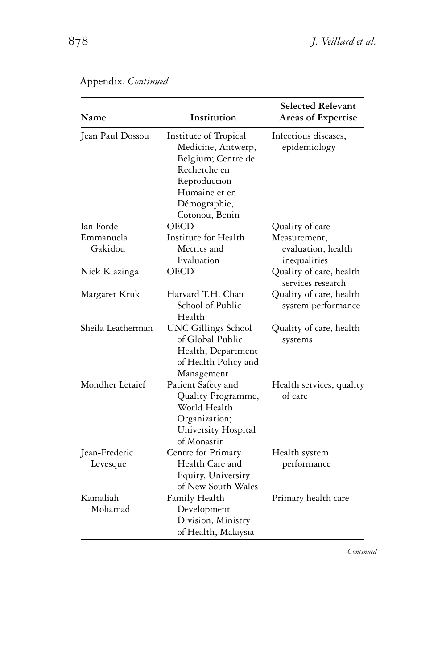| Name                      | Institution                                                                                                                                          | <b>Selected Relevant</b><br>Areas of Expertise     |
|---------------------------|------------------------------------------------------------------------------------------------------------------------------------------------------|----------------------------------------------------|
| Jean Paul Dossou          | Institute of Tropical<br>Medicine, Antwerp,<br>Belgium; Centre de<br>Recherche en<br>Reproduction<br>Humaine et en<br>Démographie,<br>Cotonou, Benin | Infectious diseases,<br>epidemiology               |
| Ian Forde                 | <b>OECD</b>                                                                                                                                          | Quality of care                                    |
| Emmanuela<br>Gakidou      | Institute for Health<br>Metrics and<br>Evaluation                                                                                                    | Measurement,<br>evaluation, health<br>inequalities |
| Niek Klazinga             | <b>OECD</b>                                                                                                                                          | Quality of care, health<br>services research       |
| Margaret Kruk             | Harvard T.H. Chan<br>School of Public<br>Health                                                                                                      | Quality of care, health<br>system performance      |
| Sheila Leatherman         | <b>UNC Gillings School</b><br>of Global Public<br>Health, Department<br>of Health Policy and<br>Management                                           | Quality of care, health<br>systems                 |
| Mondher Letaief           | Patient Safety and<br>Quality Programme,<br>World Health<br>Organization;<br>University Hospital<br>of Monastir                                      | Health services, quality<br>of care                |
| Jean-Frederic<br>Levesque | Centre for Primary<br>Health Care and<br>Equity, University<br>of New South Wales                                                                    | Health system<br>performance                       |
| Kamaliah                  | Family Health                                                                                                                                        | Primary health care                                |
| Mohamad                   | Development<br>Division, Ministry<br>of Health, Malaysia                                                                                             |                                                    |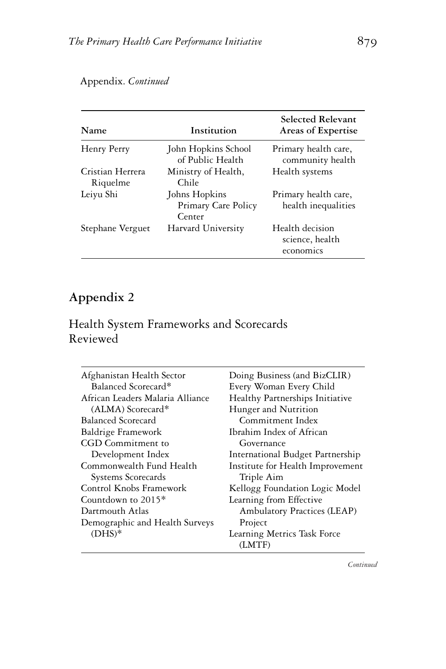#### **Name Institution Selected Relevant Areas of Expertise** Henry Perry John Hopkins School of Public Health Primary health care, community health Cristian Herrera Riquelme Ministry of Health, Chile Health systems Leiyu Shi Johns Hopkins Primary health care,

Primary Care Policy

Stephane Verguet Harvard University Health decision

Center

#### Appendix. *Continued*

#### **Appendix 2**

### Health System Frameworks and Scorecards Reviewed

| Afghanistan Health Sector        | Doing Business (and BizCLIR)     |
|----------------------------------|----------------------------------|
| Balanced Scorecard*              | Every Woman Every Child          |
| African Leaders Malaria Alliance | Healthy Partnerships Initiative  |
| $(ALMA)$ Scorecard*              | Hunger and Nutrition             |
| Balanced Scorecard               | Commitment Index                 |
| Baldrige Framework               | Ibrahim Index of African         |
| CGD Commitment to                | Governance                       |
| Development Index                | International Budget Partnership |
| Commonwealth Fund Health         | Institute for Health Improvement |
| Systems Scorecards               | Triple Aim                       |
| Control Knobs Framework          | Kellogg Foundation Logic Model   |
| Countdown to $2015*$             | Learning from Effective          |
| Dartmouth Atlas                  | Ambulatory Practices (LEAP)      |
| Demographic and Health Surveys   | Project                          |
| $(DHS)*$                         | Learning Metrics Task Force      |
|                                  | (LMTF)                           |

*Continued*

health inequalities

science, health economics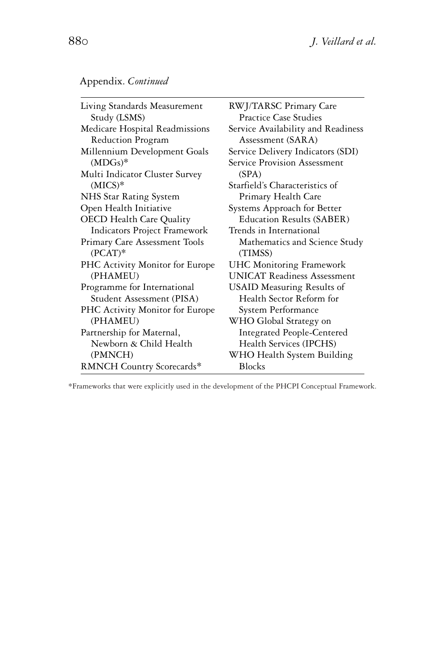| Living Standards Measurement    | RWJ/TARSC Primary Care             |
|---------------------------------|------------------------------------|
| Study (LSMS)                    | <b>Practice Case Studies</b>       |
| Medicare Hospital Readmissions  | Service Availability and Readiness |
| Reduction Program               | Assessment (SARA)                  |
| Millennium Development Goals    | Service Delivery Indicators (SDI)  |
| $(MDGs)*$                       | Service Provision Assessment       |
| Multi Indicator Cluster Survey  | (SPA)                              |
| $(MICS)*$                       | Starfield's Characteristics of     |
| NHS Star Rating System          | Primary Health Care                |
| Open Health Initiative          | Systems Approach for Better        |
| <b>OECD</b> Health Care Quality | <b>Education Results (SABER)</b>   |
| Indicators Project Framework    | Trends in International            |
| Primary Care Assessment Tools   | Mathematics and Science Study      |
| $(PCAT)*$                       | (TIMSS)                            |
| PHC Activity Monitor for Europe | <b>UHC Monitoring Framework</b>    |
| (PHAMEU)                        | <b>UNICAT Readiness Assessment</b> |
| Programme for International     | <b>USAID Measuring Results of</b>  |
| Student Assessment (PISA)       | Health Sector Reform for           |
| PHC Activity Monitor for Europe | System Performance                 |
| (PHAMEU)                        | WHO Global Strategy on             |
| Partnership for Maternal,       | <b>Integrated People-Centered</b>  |
| Newborn & Child Health          | Health Services (IPCHS)            |
| (PMNCH)                         | WHO Health System Building         |
| RMNCH Country Scorecards*       | <b>Blocks</b>                      |

\*Frameworks that were explicitly used in the development of the PHCPI Conceptual Framework.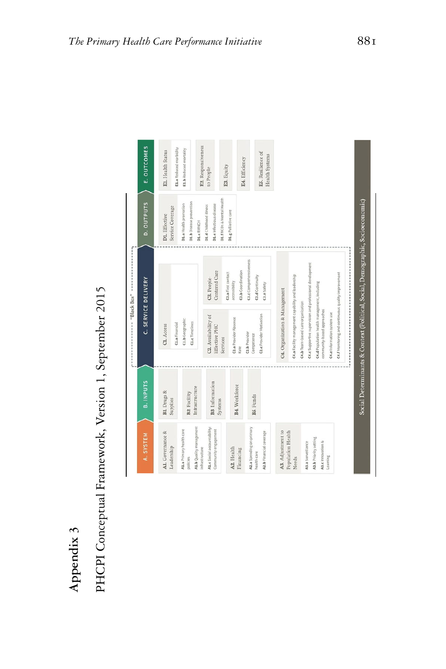| r | ۳  | ר |  |
|---|----|---|--|
|   | D  | ٩ |  |
|   |    |   |  |
|   | Ξ  |   |  |
|   |    |   |  |
|   |    |   |  |
|   | Ξ. |   |  |
|   |    |   |  |
|   | í  |   |  |
|   |    |   |  |

PHCPI Conceptual Framework, Version 1, September 2015 **Appendix 3** PHCPI Conceptual Framework, Version 1, September 2015

| A. SYSTEM                                                                         | <b>B. INPUTS</b>               |                                                                                                           | C. SERVICE DELIVERY                         | D. OUTPUTS                                                                     | E. OUTCOMES                                  |
|-----------------------------------------------------------------------------------|--------------------------------|-----------------------------------------------------------------------------------------------------------|---------------------------------------------|--------------------------------------------------------------------------------|----------------------------------------------|
| Al. Governance &                                                                  | BL Drugs &                     | CL. Access                                                                                                |                                             | DI. Effective                                                                  | EL. Health Status                            |
| Leadership                                                                        | Supplies                       | C1.a Financial                                                                                            |                                             | Service Coverage                                                               | E1.a Reduced morbidity                       |
| A1.b Quality management<br>A1.a Primary health care<br>infrastructure<br>policies | Infrastructure<br>B2. Facility | C1.b Geographic<br><b>C1.c</b> Timelines                                                                  |                                             | D1.b Disease prevention<br>D1.a Health promotion<br>D1.cRMNCH                  | E2. Responsiveness<br>E1.b Reduced mortality |
| A1.c Social accountability:<br>Community engagement                               | B3. Information<br>Systems     | C2. Availability of<br>Effective PHC<br>Services                                                          | Centered Care<br>C3. People-                | D1.f NCDs & Mental Health<br>D1.e Infectious disease<br>D1.d Childhood illness | to People                                    |
| A2. Health                                                                        |                                | C2.a Provider Absence                                                                                     | C3.a First contact<br>accessibility         | D1.g Palliative care                                                           | E3. Equity                                   |
| A2.a Spending on primary<br>Financing                                             | B4. Workforce                  | C <sub>2</sub> .b Provider<br>Rate                                                                        | C3.c Comprehensiveness<br>C3.b Coordination |                                                                                | E4. Efficiency                               |
| A2.b Financial coverage<br>health care                                            | BS. Funds                      | C2.c Provider Motivation<br>Competence                                                                    | C3.d Continuity<br>C3.e Safety              |                                                                                | E5. Resilience of<br>Health Systems          |
| A3. Adjustment to<br>Population Health<br>Needs                                   |                                | C4.a Facility management capability and leadership<br>C4. Organization & Management                       |                                             |                                                                                |                                              |
| A3.a Surveillance                                                                 |                                | C4.c Supportive supervision and professional development<br>C4.b Team-based care organization             |                                             |                                                                                |                                              |
| A3.b Priority setting<br>A3.c Innovation &<br>Learning                            |                                | C4.d Population health management, including<br>community-based approaches<br>C4.e Information system use |                                             |                                                                                |                                              |
|                                                                                   |                                | C4.f Monitoring and continuous quality improvement                                                        |                                             |                                                                                |                                              |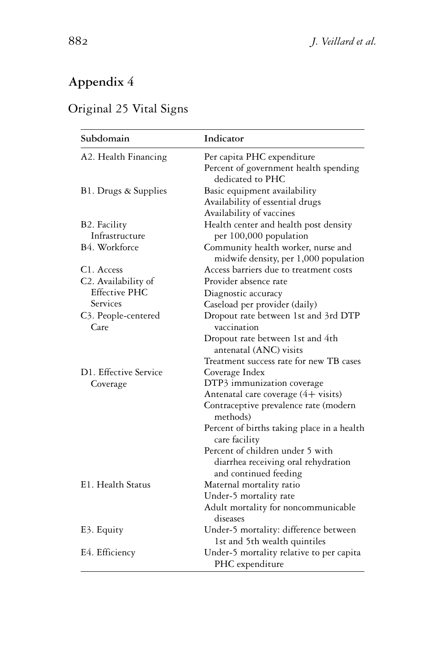# **Appendix 4**

## Original 25 Vital Signs

| Subdomain                   | Indicator                                                   |
|-----------------------------|-------------------------------------------------------------|
| A2. Health Financing        | Per capita PHC expenditure                                  |
|                             | Percent of government health spending                       |
|                             | dedicated to PHC                                            |
| B1. Drugs & Supplies        | Basic equipment availability                                |
|                             | Availability of essential drugs                             |
|                             | Availability of vaccines                                    |
| B2. Facility                | Health center and health post density                       |
| Infrastructure              | per 100,000 population                                      |
| B4. Workforce               | Community health worker, nurse and                          |
|                             | midwife density, per 1,000 population                       |
| C <sub>1</sub> . Access     | Access barriers due to treatment costs                      |
| C2. Availability of         | Provider absence rate                                       |
| <b>Effective PHC</b>        | Diagnostic accuracy                                         |
| Services                    | Caseload per provider (daily)                               |
| C3. People-centered<br>Care | Dropout rate between 1st and 3rd DTP<br>vaccination         |
|                             | Dropout rate between 1st and 4th                            |
|                             | antenatal (ANC) visits                                      |
|                             | Treatment success rate for new TB cases                     |
| D1. Effective Service       | Coverage Index                                              |
| Coverage                    | DTP3 immunization coverage                                  |
|                             | Antenatal care coverage (4+ visits)                         |
|                             | Contraceptive prevalence rate (modern<br>methods)           |
|                             | Percent of births taking place in a health<br>care facility |
|                             | Percent of children under 5 with                            |
|                             | diarrhea receiving oral rehydration                         |
|                             | and continued feeding                                       |
| E1. Health Status           | Maternal mortality ratio                                    |
|                             | Under-5 mortality rate                                      |
|                             | Adult mortality for noncommunicable<br>diseases             |
| E3. Equity                  | Under-5 mortality: difference between                       |
|                             | 1st and 5th wealth quintiles                                |
| E4. Efficiency              | Under-5 mortality relative to per capita                    |
|                             | PHC expenditure                                             |